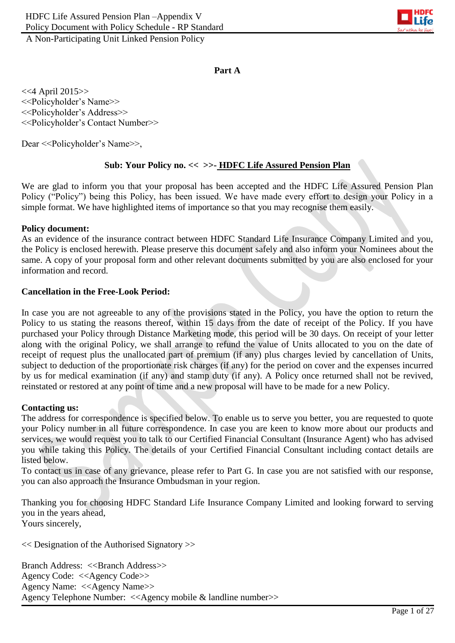

### **Part A**

<<4 April 2015>> <<Policyholder's Name>> <<Policyholder's Address>> <<Policyholder's Contact Number>>

Dear <<Policyholder's Name>>,

### **Sub: Your Policy no. << >>- HDFC Life Assured Pension Plan**

We are glad to inform you that your proposal has been accepted and the HDFC Life Assured Pension Plan Policy ("Policy") being this Policy, has been issued. We have made every effort to design your Policy in a simple format. We have highlighted items of importance so that you may recognise them easily.

#### **Policy document:**

As an evidence of the insurance contract between HDFC Standard Life Insurance Company Limited and you, the Policy is enclosed herewith. Please preserve this document safely and also inform your Nominees about the same. A copy of your proposal form and other relevant documents submitted by you are also enclosed for your information and record.

#### **Cancellation in the Free-Look Period:**

In case you are not agreeable to any of the provisions stated in the Policy, you have the option to return the Policy to us stating the reasons thereof, within 15 days from the date of receipt of the Policy. If you have purchased your Policy through Distance Marketing mode, this period will be 30 days. On receipt of your letter along with the original Policy, we shall arrange to refund the value of Units allocated to you on the date of receipt of request plus the unallocated part of premium (if any) plus charges levied by cancellation of Units, subject to deduction of the proportionate risk charges (if any) for the period on cover and the expenses incurred by us for medical examination (if any) and stamp duty (if any). A Policy once returned shall not be revived, reinstated or restored at any point of time and a new proposal will have to be made for a new Policy.

#### **Contacting us:**

The address for correspondence is specified below. To enable us to serve you better, you are requested to quote your Policy number in all future correspondence. In case you are keen to know more about our products and services, we would request you to talk to our Certified Financial Consultant (Insurance Agent) who has advised you while taking this Policy. The details of your Certified Financial Consultant including contact details are listed below.

To contact us in case of any grievance, please refer to Part G. In case you are not satisfied with our response, you can also approach the Insurance Ombudsman in your region.

Thanking you for choosing HDFC Standard Life Insurance Company Limited and looking forward to serving you in the years ahead, Yours sincerely,

<< Designation of the Authorised Signatory >>

Branch Address: <<Branch Address>> Agency Code: <<Agency Code>> Agency Name: <<Agency Name>> Agency Telephone Number: <<Agency mobile & landline number>>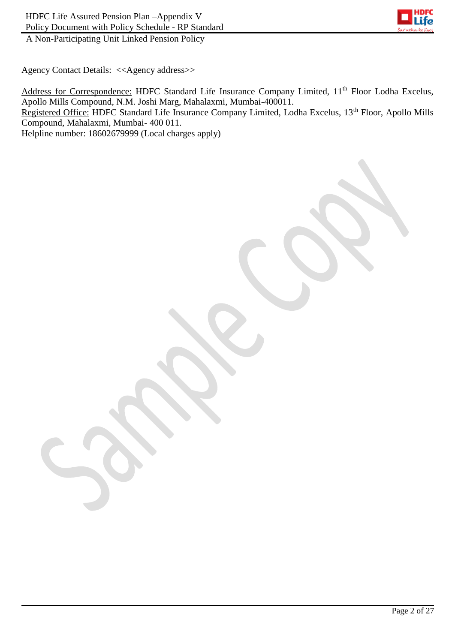

Agency Contact Details: <<Agency address>>

Address for Correspondence: HDFC Standard Life Insurance Company Limited, 11<sup>th</sup> Floor Lodha Excelus, Apollo Mills Compound, N.M. Joshi Marg, Mahalaxmi, Mumbai-400011. Registered Office: HDFC Standard Life Insurance Company Limited, Lodha Excelus, 13<sup>th</sup> Floor, Apollo Mills Compound, Mahalaxmi, Mumbai- 400 011.

Helpline number: 18602679999 (Local charges apply)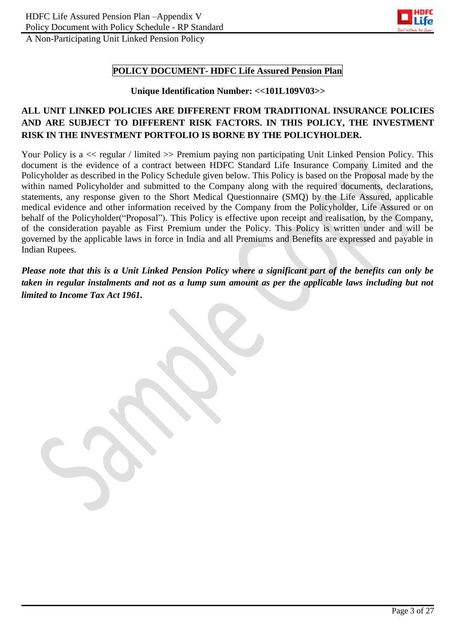

## **POLICY DOCUMENT- HDFC Life Assured Pension Plan**

#### **Unique Identification Number: <<101L109V03>>**

# **ALL UNIT LINKED POLICIES ARE DIFFERENT FROM TRADITIONAL INSURANCE POLICIES AND ARE SUBJECT TO DIFFERENT RISK FACTORS. IN THIS POLICY, THE INVESTMENT RISK IN THE INVESTMENT PORTFOLIO IS BORNE BY THE POLICYHOLDER.**

Your Policy is a  $\ll$  regular / limited  $\gg$  Premium paying non participating Unit Linked Pension Policy. This document is the evidence of a contract between HDFC Standard Life Insurance Company Limited and the Policyholder as described in the Policy Schedule given below. This Policy is based on the Proposal made by the within named Policyholder and submitted to the Company along with the required documents, declarations, statements, any response given to the Short Medical Questionnaire (SMQ) by the Life Assured, applicable medical evidence and other information received by the Company from the Policyholder, Life Assured or on behalf of the Policyholder("Proposal"). This Policy is effective upon receipt and realisation, by the Company, of the consideration payable as First Premium under the Policy. This Policy is written under and will be governed by the applicable laws in force in India and all Premiums and Benefits are expressed and payable in Indian Rupees.

*Please note that this is a Unit Linked Pension Policy where a significant part of the benefits can only be taken in regular instalments and not as a lump sum amount as per the applicable laws including but not limited to Income Tax Act 1961.*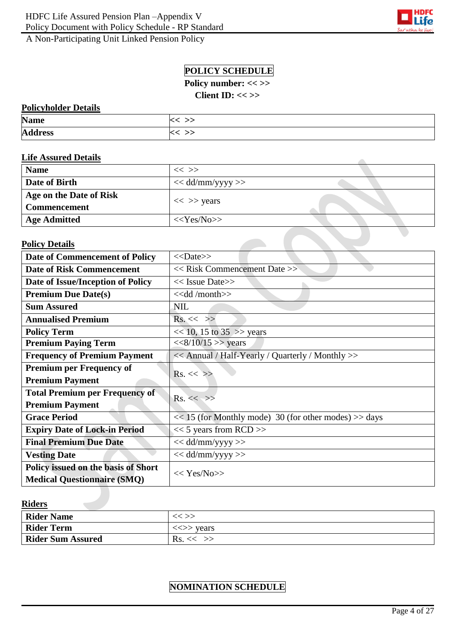

z,

# **POLICY SCHEDULE**

**Policy number: << >>**

**Client ID: << >>**

### **Policyholder Details**

| <b>Name</b>    |  |
|----------------|--|
| <b>Address</b> |  |

### **Life Assured Details**

| <b>Name</b>             | $<<$ >>             |  |
|-------------------------|---------------------|--|
| Date of Birth           | $<<$ dd/mm/yyyy >>  |  |
| Age on the Date of Risk | $<<$ >> years       |  |
| <b>Commencement</b>     |                     |  |
| <b>Age Admitted</b>     | $<<\text{Yes/N0}>>$ |  |

#### **Policy Details**

| <b>Date of Commencement of Policy</b> | $<<$ Date>>                                               |  |
|---------------------------------------|-----------------------------------------------------------|--|
| <b>Date of Risk Commencement</b>      | < <risk commencement="" date=""></risk>                   |  |
| Date of Issue/Inception of Policy     | $<<$ Issue Date>>                                         |  |
| <b>Premium Due Date(s)</b>            | $<<$ dd /month $>>$                                       |  |
| <b>Sum Assured</b>                    | <b>NIL</b>                                                |  |
| <b>Annualised Premium</b>             | $Rs. \ll \gg$                                             |  |
| <b>Policy Term</b>                    | $<< 10$ , 15 to 35 $>>$ years                             |  |
| <b>Premium Paying Term</b>            | $<<8/10/15$ >> years                                      |  |
| <b>Frequency of Premium Payment</b>   | << Annual / Half-Yearly / Quarterly / Monthly >>          |  |
| <b>Premium per Frequency of</b>       | $Rs. \ll \gg$                                             |  |
| <b>Premium Payment</b>                |                                                           |  |
| <b>Total Premium per Frequency of</b> | $Rs. \ll \gg$                                             |  |
| <b>Premium Payment</b>                |                                                           |  |
| <b>Grace Period</b>                   | $<< 15$ (for Monthly mode) 30 (for other modes) $>>$ days |  |
| <b>Expiry Date of Lock-in Period</b>  | $<< 5$ years from RCD $>>$                                |  |
| <b>Final Premium Due Date</b>         | $<<$ dd/mm/yyyy >>                                        |  |
| <b>Vesting Date</b>                   | $<<$ dd/mm/yyyy >>                                        |  |
| Policy issued on the basis of Short   |                                                           |  |
| <b>Medical Questionnaire (SMQ)</b>    | $<< \text{Yes/N0}>>$                                      |  |

### **Riders**

| <b>Rider Name</b>        | $<<$ $>>$                               |
|--------------------------|-----------------------------------------|
| <b>Rider Term</b>        | $\langle \langle \rangle \rangle$ vears |
| <b>Rider Sum Assured</b> | Rs. < <                                 |

# **NOMINATION SCHEDULE**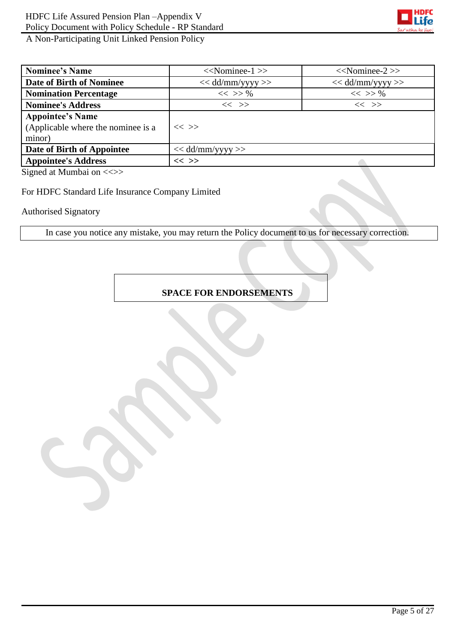

| <b>Nominee's Name</b>                                                   | $<<$ Nominee-1 $>>$  | $<<$ Nominee-2 $>>$ |
|-------------------------------------------------------------------------|----------------------|---------------------|
| Date of Birth of Nominee                                                | $<<$ dd/mm/yyyy >>   | $<<$ dd/mm/yyyy >>  |
| <b>Nomination Percentage</b>                                            | $<<$ >> %            | $<<$ >> %           |
| <b>Nominee's Address</b>                                                | $<<$ $>>$            | $<<$ >>             |
| <b>Appointee's Name</b><br>(Applicable where the nominee is a<br>minor) | $<<$ >>              |                     |
| Date of Birth of Appointee                                              | $<<$ dd/mm/yyyy $>>$ |                     |
| <b>Appointee's Address</b>                                              | $<<$ >>              |                     |

Signed at Mumbai on <<>>

For HDFC Standard Life Insurance Company Limited

Authorised Signatory

In case you notice any mistake, you may return the Policy document to us for necessary correction.

## **SPACE FOR ENDORSEMENTS**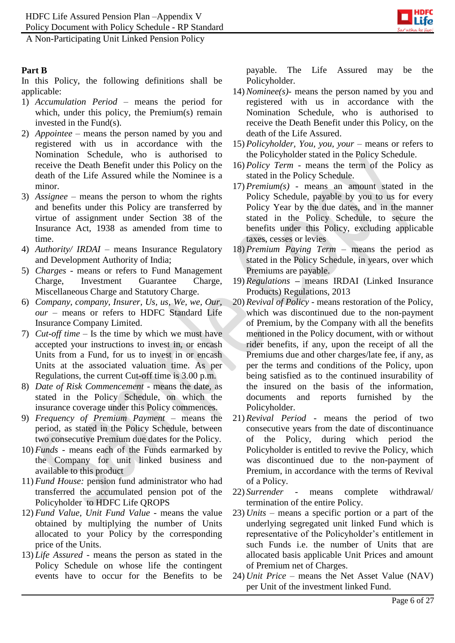Policy Document with Policy Schedule - RP Standard



A Non-Participating Unit Linked Pension Policy

## **Part B**

In this Policy, the following definitions shall be applicable:

- 1) *Accumulation Period* means the period for which, under this policy, the Premium(s) remain invested in the Fund(s).
- 2) *Appointee –* means the person named by you and registered with us in accordance with the Nomination Schedule, who is authorised to receive the Death Benefit under this Policy on the death of the Life Assured while the Nominee is a minor.
- 3) *Assignee*  means the person to whom the rights and benefits under this Policy are transferred by virtue of assignment under Section 38 of the Insurance Act, 1938 as amended from time to time.
- 4) *Authority/ IRDAI* means Insurance Regulatory and Development Authority of India;
- 5) *Charges -* means or refers to Fund Management Charge, Investment Guarantee Charge, Miscellaneous Charge and Statutory Charge.
- 6) *Company, company, Insurer, Us, us, We, we, Our, our* – means or refers to HDFC Standard Life Insurance Company Limited.
- 7) *Cut-off time*  Is the time by which we must have accepted your instructions to invest in, or encash Units from a Fund, for us to invest in or encash Units at the associated valuation time. As per Regulations, the current Cut-off time is 3.00 p.m.
- 8) *Date of Risk Commencement -* means the date, as stated in the Policy Schedule, on which the insurance coverage under this Policy commences.
- 9) *Frequency of Premium Payment –* means the period, as stated in the Policy Schedule, between two consecutive Premium due dates for the Policy.
- 10) *Funds* means each of the Funds earmarked by the Company for unit linked business and available to this product
- 11) *Fund House:* pension fund administrator who had transferred the accumulated pension pot of the Policyholder to HDFC Life QROPS
- 12) *Fund Value, Unit Fund Value* means the value obtained by multiplying the number of Units allocated to your Policy by the corresponding price of the Units.
- 13) *Life Assured* means the person as stated in the Policy Schedule on whose life the contingent events have to occur for the Benefits to be

payable. The Life Assured may be the Policyholder.

- 14) *Nominee(s)-* means the person named by you and registered with us in accordance with the Nomination Schedule, who is authorised to receive the Death Benefit under this Policy, on the death of the Life Assured.
- 15) *Policyholder, You, you, your* means or refers to the Policyholder stated in the Policy Schedule.
- 16) *Policy Term*  means the term of the Policy as stated in the Policy Schedule.
- 17) *Premium(s)* means an amount stated in the Policy Schedule, payable by you to us for every Policy Year by the due dates, and in the manner stated in the Policy Schedule, to secure the benefits under this Policy, excluding applicable taxes, cesses or levies
- 18) *Premium Paying Term –* means the period as stated in the Policy Schedule, in years, over which Premiums are payable.
- 19) *Regulations* **–** means IRDAI (Linked Insurance Products) Regulations, 2013
- 20) *Revival of Policy* means restoration of the Policy, which was discontinued due to the non-payment of Premium, by the Company with all the benefits mentioned in the Policy document, with or without rider benefits, if any, upon the receipt of all the Premiums due and other charges/late fee, if any, as per the terms and conditions of the Policy, upon being satisfied as to the continued insurability of the insured on the basis of the information, documents and reports furnished by the Policyholder.
- 21) *Revival Period*  means the period of two consecutive years from the date of discontinuance of the Policy, during which period the Policyholder is entitled to revive the Policy, which was discontinued due to the non-payment of Premium, in accordance with the terms of Revival of a Policy.
- 22) *Surrender* means complete withdrawal/ termination of the entire Policy.
- 23) *Units* means a specific portion or a part of the underlying segregated unit linked Fund which is representative of the Policyholder's entitlement in such Funds i.e. the number of Units that are allocated basis applicable Unit Prices and amount of Premium net of Charges.
- 24) *Unit Price* means the Net Asset Value (NAV) per Unit of the investment linked Fund.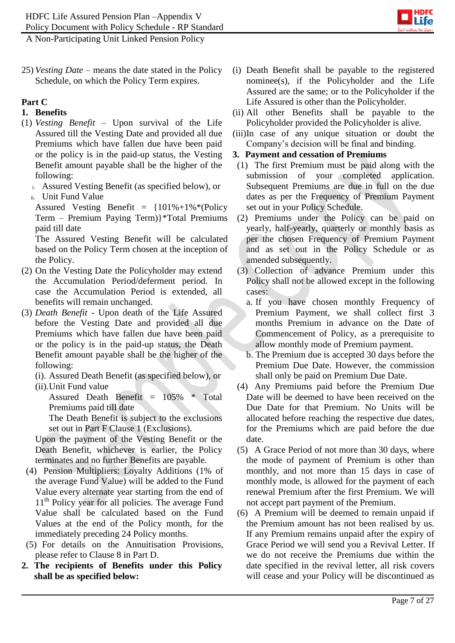

25) *Vesting Date –* means the date stated in the Policy Schedule, on which the Policy Term expires.

## **Part C**

# **1. Benefits**

- (1) *Vesting Benefit –* Upon survival of the Life Assured till the Vesting Date and provided all due Premiums which have fallen due have been paid or the policy is in the paid-up status, the Vesting Benefit amount payable shall be the higher of the following:
	- i. Assured Vesting Benefit (as specified below), or
	- ii. Unit Fund Value

Assured Vesting Benefit =  ${101\% + 1\% * (Policy)}$ Term – Premium Paying Term)}\*Total Premiums paid till date

The Assured Vesting Benefit will be calculated based on the Policy Term chosen at the inception of the Policy.

- (2) On the Vesting Date the Policyholder may extend the Accumulation Period/deferment period. In case the Accumulation Period is extended, all benefits will remain unchanged.
- (3) *Death Benefit* Upon death of the Life Assured before the Vesting Date and provided all due Premiums which have fallen due have been paid or the policy is in the paid-up status, the Death Benefit amount payable shall be the higher of the following:
	- (i). Assured Death Benefit (as specified below), or
	- (ii).Unit Fund value

Assured Death Benefit = 105% \* Total Premiums paid till date

The Death Benefit is subject to the exclusions set out in Part F Clause 1 (Exclusions).

Upon the payment of the Vesting Benefit or the Death Benefit, whichever is earlier, the Policy terminates and no further Benefits are payable.

- (4) Pension Multipliers: Loyalty Additions (1% of the average Fund Value) will be added to the Fund Value every alternate year starting from the end of 11<sup>th</sup> Policy year for all policies. The average Fund Value shall be calculated based on the Fund Values at the end of the Policy month, for the immediately preceding 24 Policy months.
- (5) For details on the Annuitisation Provisions, please refer to Clause 8 in Part D.
- **2. The recipients of Benefits under this Policy shall be as specified below:**
- (i) Death Benefit shall be payable to the registered nominee(s), if the Policyholder and the Life Assured are the same; or to the Policyholder if the Life Assured is other than the Policyholder.
- (ii) All other Benefits shall be payable to the Policyholder provided the Policyholder is alive.
- (iii)In case of any unique situation or doubt the Company's decision will be final and binding.

### **3. Payment and cessation of Premiums**

- (1) The first Premium must be paid along with the submission of your completed application. Subsequent Premiums are due in full on the due dates as per the Frequency of Premium Payment set out in your Policy Schedule.
- (2) Premiums under the Policy can be paid on yearly, half-yearly, quarterly or monthly basis as per the chosen Frequency of Premium Payment and as set out in the Policy Schedule or as amended subsequently.
- (3) Collection of advance Premium under this Policy shall not be allowed except in the following cases:
	- a. If you have chosen monthly Frequency of Premium Payment, we shall collect first 3 months Premium in advance on the Date of Commencement of Policy, as a prerequisite to allow monthly mode of Premium payment.
	- b. The Premium due is accepted 30 days before the Premium Due Date. However, the commission shall only be paid on Premium Due Date.
- (4) Any Premiums paid before the Premium Due Date will be deemed to have been received on the Due Date for that Premium. No Units will be allocated before reaching the respective due dates, for the Premiums which are paid before the due date.
- (5) A Grace Period of not more than 30 days, where the mode of payment of Premium is other than monthly, and not more than 15 days in case of monthly mode, is allowed for the payment of each renewal Premium after the first Premium. We will not accept part payment of the Premium.
- (6) A Premium will be deemed to remain unpaid if the Premium amount has not been realised by us. If any Premium remains unpaid after the expiry of Grace Period we will send you a Revival Letter. If we do not receive the Premiums due within the date specified in the revival letter, all risk covers will cease and your Policy will be discontinued as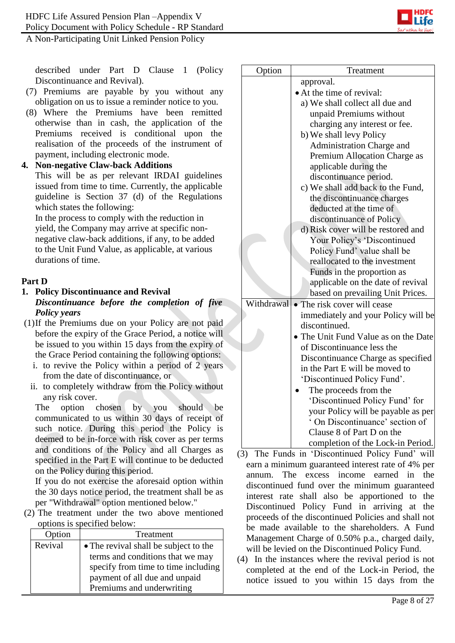

described under Part D Clause 1 (Policy Discontinuance and Revival).

- (7) Premiums are payable by you without any obligation on us to issue a reminder notice to you.
- (8) Where the Premiums have been remitted otherwise than in cash, the application of the Premiums received is conditional upon the realisation of the proceeds of the instrument of payment, including electronic mode.

**4. Non-negative Claw-back Additions** This will be as per relevant IRDAI guidelines issued from time to time. Currently, the applicable guideline is Section 37 (d) of the Regulations which states the following:

In the process to comply with the reduction in yield, the Company may arrive at specific nonnegative claw-back additions, if any, to be added to the Unit Fund Value, as applicable, at various durations of time.

# **Part D**

## **1. Policy Discontinuance and Revival**

- *Discontinuance before the completion of five Policy years*
- (1)If the Premiums due on your Policy are not paid before the expiry of the Grace Period, a notice will be issued to you within 15 days from the expiry of the Grace Period containing the following options:
	- i. to revive the Policy within a period of 2 years from the date of discontinuance, or
	- ii. to completely withdraw from the Policy without any risk cover.

The option chosen by you should be communicated to us within 30 days of receipt of such notice. During this period the Policy is deemed to be in-force with risk cover as per terms and conditions of the Policy and all Charges as specified in the Part E will continue to be deducted on the Policy during this period.

If you do not exercise the aforesaid option within the 30 days notice period, the treatment shall be as per "Withdrawal" option mentioned below."

(2) The treatment under the two above mentioned options is specified below:

| Option  | Treatment                             |  |
|---------|---------------------------------------|--|
| Revival | • The revival shall be subject to the |  |
|         | terms and conditions that we may      |  |
|         | specify from time to time including   |  |
|         | payment of all due and unpaid         |  |
|         | Premiums and underwriting             |  |

| Option              | Treatment                                                           |
|---------------------|---------------------------------------------------------------------|
|                     | approval.                                                           |
|                     | • At the time of revival:                                           |
|                     | a) We shall collect all due and                                     |
|                     | unpaid Premiums without                                             |
|                     | charging any interest or fee.                                       |
|                     | b) We shall levy Policy                                             |
|                     | Administration Charge and                                           |
|                     | Premium Allocation Charge as                                        |
|                     | applicable during the                                               |
|                     | discontinuance period.                                              |
|                     | c) We shall add back to the Fund,                                   |
|                     | the discontinuance charges                                          |
|                     | deducted at the time of                                             |
|                     | discontinuance of Policy                                            |
|                     | d) Risk cover will be restored and                                  |
|                     | Your Policy's 'Discontinued                                         |
|                     | Policy Fund' value shall be                                         |
|                     | reallocated to the investment                                       |
|                     | Funds in the proportion as                                          |
|                     | applicable on the date of revival                                   |
|                     | based on prevailing Unit Prices.                                    |
| Withdrawal          | The risk cover will cease<br>$\bullet$                              |
|                     | immediately and your Policy will be                                 |
|                     | discontinued.                                                       |
|                     | • The Unit Fund Value as on the Date                                |
|                     | of Discontinuance less the                                          |
|                     | Discontinuance Charge as specified                                  |
|                     | in the Part E will be moved to                                      |
|                     | 'Discontinued Policy Fund'.                                         |
|                     | The proceeds from the                                               |
|                     | 'Discontinued Policy Fund' for                                      |
|                     | your Policy will be payable as per                                  |
|                     | On Discontinuance' section of                                       |
|                     | Clause 8 of Part D on the                                           |
| The Funda in<br>(2) | completion of the Lock-in Period.<br>Discontinued Delioy Fund' will |

- (3) The Funds in 'Discontinued Policy Fund' will earn a minimum guaranteed interest rate of 4% per annum. The excess income earned in the discontinued fund over the minimum guaranteed interest rate shall also be apportioned to the Discontinued Policy Fund in arriving at the proceeds of the discontinued Policies and shall not be made available to the shareholders. A Fund Management Charge of 0.50% p.a., charged daily, will be levied on the Discontinued Policy Fund.
- (4) In the instances where the revival period is not completed at the end of the Lock-in Period, the notice issued to you within 15 days from the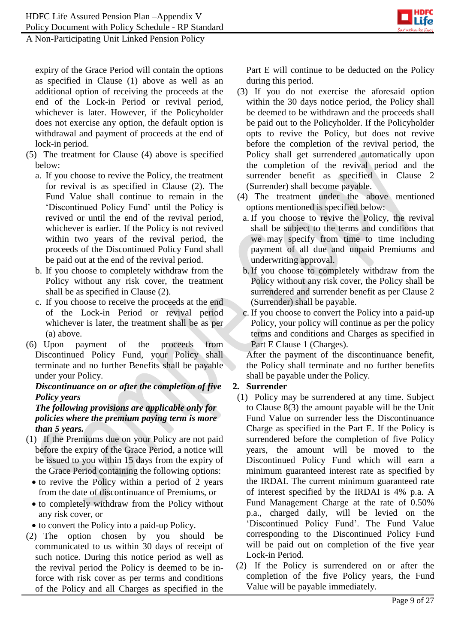

expiry of the Grace Period will contain the options as specified in Clause (1) above as well as an additional option of receiving the proceeds at the end of the Lock-in Period or revival period, whichever is later. However, if the Policyholder does not exercise any option, the default option is withdrawal and payment of proceeds at the end of lock-in period.

- (5) The treatment for Clause (4) above is specified below:
	- a. If you choose to revive the Policy, the treatment for revival is as specified in Clause (2). The Fund Value shall continue to remain in the 'Discontinued Policy Fund' until the Policy is revived or until the end of the revival period, whichever is earlier. If the Policy is not revived within two years of the revival period, the proceeds of the Discontinued Policy Fund shall be paid out at the end of the revival period.
	- b. If you choose to completely withdraw from the Policy without any risk cover, the treatment shall be as specified in Clause (2).
	- c. If you choose to receive the proceeds at the end of the Lock-in Period or revival period whichever is later, the treatment shall be as per (a) above.
- (6) Upon payment of the proceeds from Discontinued Policy Fund, your Policy shall terminate and no further Benefits shall be payable under your Policy.

## *Discontinuance on or after the completion of five Policy years*

### *The following provisions are applicable only for policies where the premium paying term is more than 5 years.*

- (1) If the Premiums due on your Policy are not paid before the expiry of the Grace Period, a notice will be issued to you within 15 days from the expiry of the Grace Period containing the following options:
	- to revive the Policy within a period of 2 years from the date of discontinuance of Premiums, or
	- to completely withdraw from the Policy without any risk cover, or
	- to convert the Policy into a paid-up Policy.
- (2) The option chosen by you should be communicated to us within 30 days of receipt of such notice. During this notice period as well as the revival period the Policy is deemed to be inforce with risk cover as per terms and conditions of the Policy and all Charges as specified in the

Part E will continue to be deducted on the Policy during this period.

- (3) If you do not exercise the aforesaid option within the 30 days notice period, the Policy shall be deemed to be withdrawn and the proceeds shall be paid out to the Policyholder. If the Policyholder opts to revive the Policy, but does not revive before the completion of the revival period, the Policy shall get surrendered automatically upon the completion of the revival period and the surrender benefit as specified in Clause 2 (Surrender) shall become payable.
- (4) The treatment under the above mentioned options mentioned is specified below:
	- a. If you choose to revive the Policy, the revival shall be subject to the terms and conditions that we may specify from time to time including payment of all due and unpaid Premiums and underwriting approval.
	- b.If you choose to completely withdraw from the Policy without any risk cover, the Policy shall be surrendered and surrender benefit as per Clause 2 (Surrender) shall be payable.
	- c. If you choose to convert the Policy into a paid-up Policy, your policy will continue as per the policy terms and conditions and Charges as specified in Part E Clause 1 (Charges).

After the payment of the discontinuance benefit, the Policy shall terminate and no further benefits shall be payable under the Policy.

# **2. Surrender**

- (1) Policy may be surrendered at any time. Subject to Clause 8(3) the amount payable will be the Unit Fund Value on surrender less the Discontinuance Charge as specified in the Part E. If the Policy is surrendered before the completion of five Policy years, the amount will be moved to the Discontinued Policy Fund which will earn a minimum guaranteed interest rate as specified by the IRDAI. The current minimum guaranteed rate of interest specified by the IRDAI is 4% p.a. A Fund Management Charge at the rate of 0.50% p.a., charged daily, will be levied on the 'Discontinued Policy Fund'. The Fund Value corresponding to the Discontinued Policy Fund will be paid out on completion of the five year Lock-in Period.
- (2) If the Policy is surrendered on or after the completion of the five Policy years, the Fund Value will be payable immediately.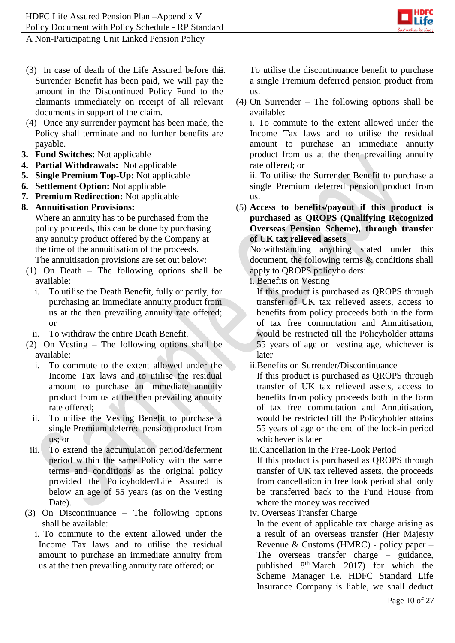

- (3) In case of death of the Life Assured before the Surrender Benefit has been paid, we will pay the amount in the Discontinued Policy Fund to the claimants immediately on receipt of all relevant documents in support of the claim.
- (4) Once any surrender payment has been made, the Policy shall terminate and no further benefits are payable.
- **3. Fund Switches**: Not applicable
- **4. Partial Withdrawals:** Not applicable
- **5. Single Premium Top-Up:** Not applicable
- **6. Settlement Option:** Not applicable
- **7. Premium Redirection:** Not applicable
- **8. Annuitisation Provisions:**

Where an annuity has to be purchased from the policy proceeds, this can be done by purchasing any annuity product offered by the Company at the time of the annuitisation of the proceeds.

The annuitisation provisions are set out below:

- (1) On Death The following options shall be available:
	- i. To utilise the Death Benefit, fully or partly, for purchasing an immediate annuity product from us at the then prevailing annuity rate offered; or
- ii. To withdraw the entire Death Benefit.
- (2) On Vesting The following options shall be available:
	- i. To commute to the extent allowed under the Income Tax laws and to utilise the residual amount to purchase an immediate annuity product from us at the then prevailing annuity rate offered;
	- ii. To utilise the Vesting Benefit to purchase a single Premium deferred pension product from us; or
- iii. To extend the accumulation period/deferment period within the same Policy with the same terms and conditions as the original policy provided the Policyholder/Life Assured is below an age of 55 years (as on the Vesting Date).
- (3) On Discontinuance The following options shall be available:
	- i. To commute to the extent allowed under the Income Tax laws and to utilise the residual amount to purchase an immediate annuity from us at the then prevailing annuity rate offered; or

To utilise the discontinuance benefit to purchase a single Premium deferred pension product from us.

(4) On Surrender – The following options shall be available:

i. To commute to the extent allowed under the Income Tax laws and to utilise the residual amount to purchase an immediate annuity product from us at the then prevailing annuity rate offered; or

ii. To utilise the Surrender Benefit to purchase a single Premium deferred pension product from us.

(5) **Access to benefits/payout if this product is purchased as QROPS (Qualifying Recognized Overseas Pension Scheme), through transfer of UK tax relieved assets**

Notwithstanding anything stated under this document, the following terms & conditions shall apply to QROPS policyholders:

i. Benefits on Vesting

If this product is purchased as QROPS through transfer of UK tax relieved assets, access to benefits from policy proceeds both in the form of tax free commutation and Annuitisation, would be restricted till the Policyholder attains 55 years of age or vesting age, whichever is later

ii.Benefits on Surrender/Discontinuance

If this product is purchased as QROPS through transfer of UK tax relieved assets, access to benefits from policy proceeds both in the form of tax free commutation and Annuitisation, would be restricted till the Policyholder attains 55 years of age or the end of the lock-in period whichever is later

iii.Cancellation in the Free-Look Period

If this product is purchased as QROPS through transfer of UK tax relieved assets, the proceeds from cancellation in free look period shall only be transferred back to the Fund House from where the money was received

iv. Overseas Transfer Charge

In the event of applicable tax charge arising as a result of an overseas transfer (Her Majesty Revenue & Customs (HMRC) - policy paper – The overseas transfer charge – guidance, published  $8<sup>th</sup> March$  2017) for which the Scheme Manager i.e. HDFC Standard Life Insurance Company is liable, we shall deduct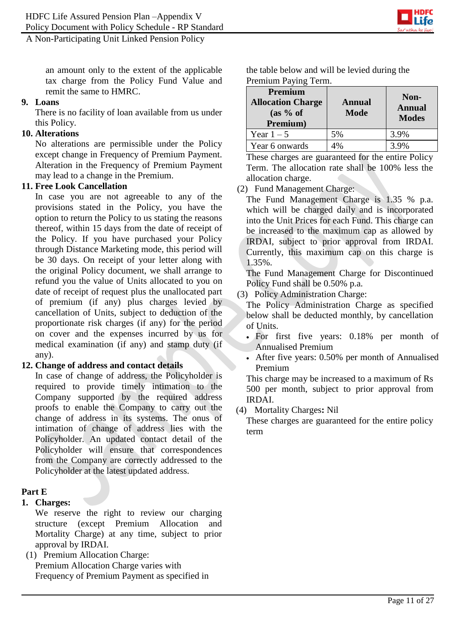

an amount only to the extent of the applicable tax charge from the Policy Fund Value and remit the same to HMRC.

#### **9. Loans**

There is no facility of loan available from us under this Policy.

### **10. Alterations**

No alterations are permissible under the Policy except change in Frequency of Premium Payment. Alteration in the Frequency of Premium Payment may lead to a change in the Premium.

### **11. Free Look Cancellation**

In case you are not agreeable to any of the provisions stated in the Policy, you have the option to return the Policy to us stating the reasons thereof, within 15 days from the date of receipt of the Policy. If you have purchased your Policy through Distance Marketing mode, this period will be 30 days. On receipt of your letter along with the original Policy document, we shall arrange to refund you the value of Units allocated to you on date of receipt of request plus the unallocated part of premium (if any) plus charges levied by cancellation of Units, subject to deduction of the proportionate risk charges (if any) for the period on cover and the expenses incurred by us for medical examination (if any) and stamp duty (if any).

### **12. Change of address and contact details**

In case of change of address, the Policyholder is required to provide timely intimation to the Company supported by the required address proofs to enable the Company to carry out the change of address in its systems. The onus of intimation of change of address lies with the Policyholder. An updated contact detail of the Policyholder will ensure that correspondences from the Company are correctly addressed to the Policyholder at the latest updated address.

# **Part E**

### **1. Charges:**

We reserve the right to review our charging structure (except Premium Allocation and Mortality Charge) at any time, subject to prior approval by IRDAI.

(1) Premium Allocation Charge: Premium Allocation Charge varies with Frequency of Premium Payment as specified in the table below and will be levied during the Premium Paying Term.

| Premium<br><b>Allocation Charge</b><br>(as 9/6 of<br>Premium) | <b>Annual</b><br><b>Mode</b> | Non-<br><b>Annual</b><br><b>Modes</b> |
|---------------------------------------------------------------|------------------------------|---------------------------------------|
| Year $1-5$                                                    | 5%                           | 3.9%                                  |
| Year 6 onwards                                                | 1%                           | 3.9%                                  |

These charges are guaranteed for the entire Policy Term. The allocation rate shall be 100% less the allocation charge.

(2) Fund Management Charge:

The Fund Management Charge is 1.35 % p.a. which will be charged daily and is incorporated into the Unit Prices for each Fund. This charge can be increased to the maximum cap as allowed by IRDAI, subject to prior approval from IRDAI. Currently, this maximum cap on this charge is 1.35%.

The Fund Management Charge for Discontinued Policy Fund shall be 0.50% p.a.

(3) Policy Administration Charge:

The Policy Administration Charge as specified below shall be deducted monthly, by cancellation of Units.

- For first five years: 0.18% per month of Annualised Premium
- After five years: 0.50% per month of Annualised Premium

This charge may be increased to a maximum of Rs 500 per month, subject to prior approval from IRDAI.

(4) Mortality Charges**:** Nil

These charges are guaranteed for the entire policy term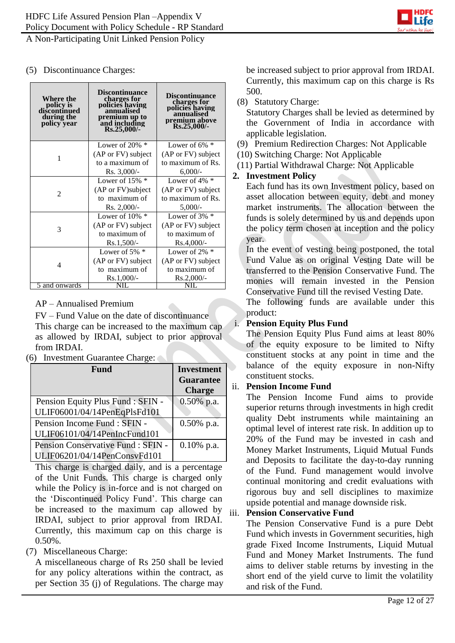

#### (5) Discontinuance Charges:

| Where the<br>policy is<br>discontinued<br>during the<br>policy year | <b>Discontinuance</b><br>charges for<br>policies having<br>annualised<br>premium up to<br>and including<br>Rs.25,000/- | <b>Discontinuance</b><br>charges for<br>policies having<br>annualised<br>premium above<br>Rs.25,000/- |
|---------------------------------------------------------------------|------------------------------------------------------------------------------------------------------------------------|-------------------------------------------------------------------------------------------------------|
|                                                                     | Lower of 20% $*$                                                                                                       | Lower of $6\%$ *                                                                                      |
| 1                                                                   | (AP or FV) subject                                                                                                     | (AP or FV) subject                                                                                    |
|                                                                     | to a maximum of                                                                                                        | to maximum of Rs.                                                                                     |
|                                                                     | $Rs. 3,000/-$                                                                                                          | 6,000/                                                                                                |
|                                                                     | Lower of $15\%$ *                                                                                                      | Lower of $4\%$ *                                                                                      |
| $\overline{c}$                                                      | (AP or FV) subject                                                                                                     | (AP or FV) subject                                                                                    |
|                                                                     | to maximum of                                                                                                          | to maximum of Rs.                                                                                     |
|                                                                     | $Rs. 2,000/-$                                                                                                          | 5,000/                                                                                                |
|                                                                     | Lower of $10\%$ *                                                                                                      | Lower of $3\%$ *                                                                                      |
| 3                                                                   | (AP or FV) subject                                                                                                     | (AP or FV) subject                                                                                    |
|                                                                     | to maximum of                                                                                                          | to maximum of                                                                                         |
|                                                                     | $Rs.1,500/-$                                                                                                           | $Rs.4,000/-$                                                                                          |
|                                                                     | Lower of 5% $*$                                                                                                        | Lower of $2\%$ *                                                                                      |
| 4                                                                   | (AP or FV) subject                                                                                                     | (AP or FV) subject                                                                                    |
|                                                                     | to maximum of                                                                                                          | to maximum of                                                                                         |
|                                                                     | $Rs.1,000/-$                                                                                                           | $Rs.2,000/-$                                                                                          |
| 5 and onwards                                                       | NIL                                                                                                                    | NII                                                                                                   |

### AP – Annualised Premium

FV – Fund Value on the date of discontinuance This charge can be increased to the maximum cap as allowed by IRDAI, subject to prior approval from IRDAI.

(6) Investment Guarantee Charge:

| <b>Fund</b>                        | <b>Investment</b><br><b>Guarantee</b> |
|------------------------------------|---------------------------------------|
|                                    | <b>Charge</b>                         |
| Pension Equity Plus Fund : SFIN -  | 0.50% p.a.                            |
| ULIF06001/04/14PenEqPlsFd101       |                                       |
| Pension Income Fund : SFIN -       | $0.50\%$ p.a.                         |
| ULIF06101/04/14PenIncFund101       |                                       |
| Pension Conservative Fund : SFIN - | $0.10\%$ p.a.                         |
| ULIF06201/04/14PenConsvFd101       |                                       |

This charge is charged daily, and is a percentage of the Unit Funds. This charge is charged only while the Policy is in-force and is not charged on the 'Discontinued Policy Fund'. This charge can be increased to the maximum cap allowed by IRDAI, subject to prior approval from IRDAI. Currently, this maximum cap on this charge is  $0.50\%$ .

# (7) Miscellaneous Charge:

A miscellaneous charge of Rs 250 shall be levied for any policy alterations within the contract, as per Section 35 (j) of Regulations. The charge may

be increased subject to prior approval from IRDAI. Currently, this maximum cap on this charge is Rs 500.

(8) Statutory Charge:

Statutory Charges shall be levied as determined by the Government of India in accordance with applicable legislation.

- (9) Premium Redirection Charges: Not Applicable
- (10) Switching Charge: Not Applicable
- (11) Partial Withdrawal Charge: Not Applicable

# **2. Investment Policy**

Each fund has its own Investment policy, based on asset allocation between equity, debt and money market instruments. The allocation between the funds is solely determined by us and depends upon the policy term chosen at inception and the policy year.

In the event of vesting being postponed, the total Fund Value as on original Vesting Date will be transferred to the Pension Conservative Fund. The monies will remain invested in the Pension Conservative Fund till the revised Vesting Date.

The following funds are available under this product:

### i. **Pension Equity Plus Fund**

The Pension Equity Plus Fund aims at least 80% of the equity exposure to be limited to Nifty constituent stocks at any point in time and the balance of the equity exposure in non-Nifty constituent stocks.

### ii. **Pension Income Fund**

The Pension Income Fund aims to provide superior returns through investments in high credit quality Debt instruments while maintaining an optimal level of interest rate risk. In addition up to 20% of the Fund may be invested in cash and Money Market Instruments, Liquid Mutual Funds and Deposits to facilitate the day-to-day running of the Fund. Fund management would involve continual monitoring and credit evaluations with rigorous buy and sell disciplines to maximize upside potential and manage downside risk.

### iii. **Pension Conservative Fund**

The Pension Conservative Fund is a pure Debt Fund which invests in Government securities, high grade Fixed Income Instruments, Liquid Mutual Fund and Money Market Instruments. The fund aims to deliver stable returns by investing in the short end of the yield curve to limit the volatility and risk of the Fund.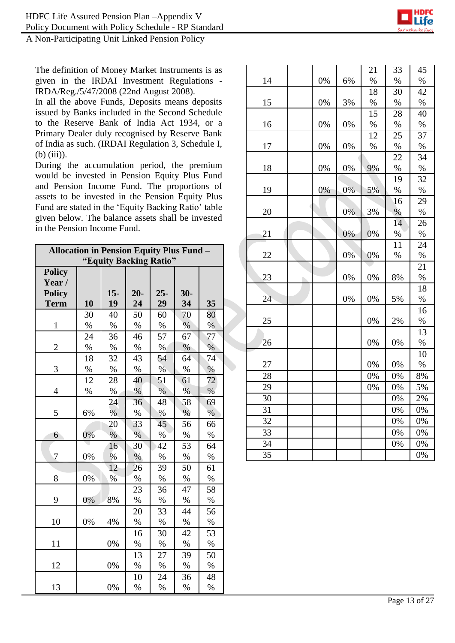

The definition of Money Market Instruments is as given in the IRDAI Investment Regulations - IRDA/Reg./5/47/2008 (22nd August 2008).

In all the above Funds, Deposits means deposits issued by Banks included in the Second Schedule to the Reserve Bank of India Act 1934, or a Primary Dealer duly recognised by Reserve Bank of India as such. (IRDAI Regulation 3, Schedule I, (b) (iii)).

During the accumulation period, the premium would be invested in Pension Equity Plus Fund and Pension Income Fund. The proportions of assets to be invested in the Pension Equity Plus Fund are stated in the 'Equity Backing Ratio' table given below. The balance assets shall be invested in the Pension Income Fund.

| <b>Allocation in Pension Equity Plus Fund -</b> |                        |       |               |        |       |      |  |
|-------------------------------------------------|------------------------|-------|---------------|--------|-------|------|--|
|                                                 | "Equity Backing Ratio" |       |               |        |       |      |  |
| <b>Policy</b>                                   |                        |       |               |        |       |      |  |
| Year/                                           |                        |       |               |        |       |      |  |
| <b>Policy</b>                                   |                        | $15-$ | $20-$         | $25 -$ | $30-$ |      |  |
| <b>Term</b>                                     | 10                     | 19    | 24            | 29     | 34    | 35   |  |
|                                                 | 30                     | 40    | 50            | 60     | 70    | 80   |  |
| $\mathbf{1}$                                    | $\%$                   | $\%$  | $\%$          | $\%$   | $\%$  | $\%$ |  |
|                                                 | 24                     | 36    | 46            | 57     | 67    | 77   |  |
| $\overline{2}$                                  | %                      | $\%$  | $\%$          | $\%$   | $\%$  | %    |  |
|                                                 | 18                     | 32    | 43            | 54     | 64    | 74   |  |
| 3                                               | $\%$                   | $\%$  | $\%$          | $\%$   | $\%$  | $\%$ |  |
|                                                 | 12                     | 28    | 40            | 51     | 61    | 72   |  |
| $\overline{4}$                                  | %                      | %     | $\%$          | %      | $\%$  | %    |  |
|                                                 |                        | 24    | 36            | 48     | 58    | 69   |  |
| 5                                               | 6%                     | %     | %             | %      | $\%$  | %    |  |
|                                                 |                        | 20    | 33            | 45     | 56    | 66   |  |
| 6                                               | 0%                     | $\%$  | $\frac{0}{0}$ | $\%$   | $\%$  | $\%$ |  |
|                                                 |                        | 16    | 30            | 42     | 53    | 64   |  |
| 7                                               | 0%                     | %     | $\%$          | $\%$   | $\%$  | $\%$ |  |
|                                                 |                        | 12    | 26            | 39     | 50    | 61   |  |
| 8                                               | 0%                     | %     | $\%$          | $\%$   | $\%$  | $\%$ |  |
|                                                 |                        |       | 23            | 36     | 47    | 58   |  |
| 9                                               | 0%                     | 8%    | $\%$          | $\%$   | $\%$  | $\%$ |  |
|                                                 |                        |       | 20            | 33     | 44    | 56   |  |
| 10                                              | 0%                     | 4%    | $\%$          | $\%$   | $\%$  | $\%$ |  |
|                                                 |                        |       | 16            | 30     | 42    | 53   |  |
| 11                                              |                        | 0%    | %             | $\%$   | $\%$  | %    |  |
|                                                 |                        |       | 13            | 27     | 39    | 50   |  |
| 12                                              |                        | 0%    | $\%$          | $\%$   | $\%$  | $\%$ |  |
|                                                 |                        |       | 10            | 24     | 36    | 48   |  |
| 13                                              |                        | 0%    | %             | %      | %     | %    |  |

|          |    |       | 21   | 33   | 45       |
|----------|----|-------|------|------|----------|
| 14       | 0% | 6%    | $\%$ | $\%$ | $\%$     |
|          |    |       | 18   | 30   | 42       |
| 15       | 0% | 3%    | $\%$ | $\%$ | $\%$     |
|          |    |       | 15   | 28   | 40       |
| 16       | 0% | 0%    | %    | $\%$ | %        |
|          |    |       | 12   | 25   | 37       |
| 17       | 0% | 0%    | $\%$ | $\%$ | $\%$     |
|          |    |       |      | 22   | 34       |
| 18       | 0% | 0%    | 9%   | $\%$ | $\%$     |
|          |    |       |      | 19   | 32       |
| 19       | 0% | 0%    | 5%   | $\%$ | $\%$     |
|          |    |       |      | 16   | 29       |
| 20       |    | 0%    | 3%   | $\%$ | $\%$     |
|          |    |       |      | 14   | 26       |
| 21       |    | 0%    | 0%   | $\%$ | $\%$     |
|          |    |       |      | 11   | 24       |
| 22       |    | $0\%$ | 0%   | $\%$ | $\%$     |
|          |    |       |      |      |          |
|          |    |       |      |      | 21       |
| 23       |    | 0%    | 0%   | 8%   | $\%$     |
|          |    |       |      |      | 18       |
| 24       |    | 0%    | 0%   | 5%   | $\%$     |
|          |    |       |      |      | 16       |
| 25       |    |       | 0%   | 2%   | $\%$     |
|          |    |       |      |      | 13       |
| 26       |    |       | 0%   | 0%   | $\%$     |
|          |    |       |      |      | 10       |
| 27       |    |       | 0%   | 0%   | $\%$     |
| 28       |    |       | 0%   | 0%   | 8%       |
| 29       |    |       | 0%   | 0%   | 5%       |
| 30       |    |       |      | 0%   | 2%       |
| 31       |    |       |      | 0%   | 0%       |
| 32       |    |       |      | 0%   | 0%       |
| 33       |    |       |      | 0%   | 0%       |
| 34<br>35 |    |       |      | 0%   | 0%<br>0% |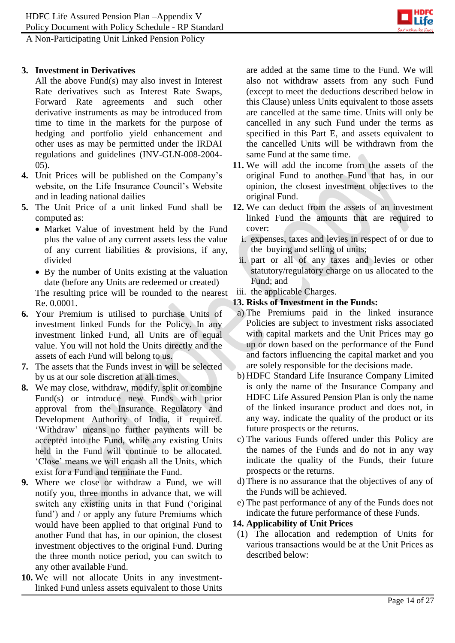

## **3. Investment in Derivatives**

All the above Fund(s) may also invest in Interest Rate derivatives such as Interest Rate Swaps, Forward Rate agreements and such other derivative instruments as may be introduced from time to time in the markets for the purpose of hedging and portfolio yield enhancement and other uses as may be permitted under the IRDAI regulations and guidelines (INV-GLN-008-2004- 05).

- **4.** Unit Prices will be published on the Company's website, on the Life Insurance Council's Website and in leading national dailies
- **5.** The Unit Price of a unit linked Fund shall be computed as:
	- Market Value of investment held by the Fund plus the value of any current assets less the value of any current liabilities & provisions, if any, divided
	- By the number of Units existing at the valuation date (before any Units are redeemed or created)

The resulting price will be rounded to the nearest Re. 0.0001.

- **6.** Your Premium is utilised to purchase Units of investment linked Funds for the Policy. In any investment linked Fund, all Units are of equal value. You will not hold the Units directly and the assets of each Fund will belong to us.
- **7.** The assets that the Funds invest in will be selected by us at our sole discretion at all times.
- **8.** We may close, withdraw, modify, split or combine Fund(s) or introduce new Funds with prior approval from the Insurance Regulatory and Development Authority of India, if required. 'Withdraw' means no further payments will be accepted into the Fund, while any existing Units held in the Fund will continue to be allocated. 'Close' means we will encash all the Units, which exist for a Fund and terminate the Fund.
- **9.** Where we close or withdraw a Fund, we will notify you, three months in advance that, we will switch any existing units in that Fund ('original fund') and / or apply any future Premiums which would have been applied to that original Fund to another Fund that has, in our opinion, the closest investment objectives to the original Fund. During the three month notice period, you can switch to any other available Fund.
- **10.** We will not allocate Units in any investmentlinked Fund unless assets equivalent to those Units

are added at the same time to the Fund. We will also not withdraw assets from any such Fund (except to meet the deductions described below in this Clause) unless Units equivalent to those assets are cancelled at the same time. Units will only be cancelled in any such Fund under the terms as specified in this Part E, and assets equivalent to the cancelled Units will be withdrawn from the same Fund at the same time.

- **11.** We will add the income from the assets of the original Fund to another Fund that has, in our opinion, the closest investment objectives to the original Fund.
- **12.** We can deduct from the assets of an investment linked Fund the amounts that are required to cover:
	- i. expenses, taxes and levies in respect of or due to the buying and selling of units;
	- ii. part or all of any taxes and levies or other statutory/regulatory charge on us allocated to the Fund; and
- iii. the applicable Charges.
- **13. Risks of Investment in the Funds:**
- a) The Premiums paid in the linked insurance Policies are subject to investment risks associated with capital markets and the Unit Prices may go up or down based on the performance of the Fund and factors influencing the capital market and you are solely responsible for the decisions made.
- b) HDFC Standard Life Insurance Company Limited is only the name of the Insurance Company and HDFC Life Assured Pension Plan is only the name of the linked insurance product and does not, in any way, indicate the quality of the product or its future prospects or the returns.
- c) The various Funds offered under this Policy are the names of the Funds and do not in any way indicate the quality of the Funds, their future prospects or the returns.
- d) There is no assurance that the objectives of any of the Funds will be achieved.
- e) The past performance of any of the Funds does not indicate the future performance of these Funds.
- **14. Applicability of Unit Prices**
- (1) The allocation and redemption of Units for various transactions would be at the Unit Prices as described below: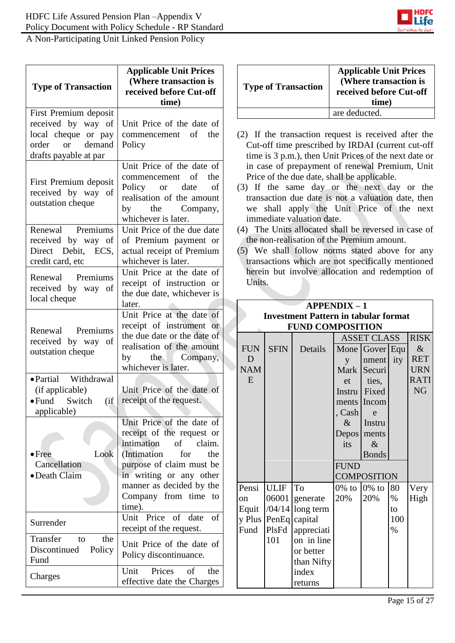

| <b>Type of Transaction</b>                                                                                  | <b>Applicable Unit Prices</b><br>(Where transaction is<br>received before Cut-off<br>time)                                                                               |  |                               |             | <b>Type of Transaction</b>                                                                                                                                                                                                                                                  |                          | <b>Applicable Unit Prices</b><br>(Where transaction is<br>received before Cut-off<br>time) |                  |                                                 |
|-------------------------------------------------------------------------------------------------------------|--------------------------------------------------------------------------------------------------------------------------------------------------------------------------|--|-------------------------------|-------------|-----------------------------------------------------------------------------------------------------------------------------------------------------------------------------------------------------------------------------------------------------------------------------|--------------------------|--------------------------------------------------------------------------------------------|------------------|-------------------------------------------------|
| First Premium deposit                                                                                       |                                                                                                                                                                          |  |                               |             |                                                                                                                                                                                                                                                                             | are deducted.            |                                                                                            |                  |                                                 |
| received by way of<br>local cheque or pay<br>demand<br>order<br><b>or</b><br>drafts payable at par          | Unit Price of the date of<br>commencement<br>of<br>the<br>Policy                                                                                                         |  |                               |             | (2) If the transaction request is received after the<br>Cut-off time prescribed by IRDAI (current cut-off<br>time is 3 p.m.), then Unit Prices of the next date or                                                                                                          |                          |                                                                                            |                  |                                                 |
| First Premium deposit<br>received by way of<br>outstation cheque                                            | Unit Price of the date of<br>commencement<br>of<br>the<br>Policy<br><b>or</b><br>date<br>of<br>realisation of the amount<br>the<br>Company,<br>by<br>whichever is later. |  |                               |             | in case of prepayment of renewal Premium, Unit<br>Price of the due date, shall be applicable.<br>(3) If the same day or the next day or the<br>transaction due date is not a valuation date, then<br>we shall apply the Unit Price of the next<br>immediate valuation date. |                          |                                                                                            |                  |                                                 |
| Premiums<br>Renewal<br>received by way of<br>Direct Debit, ECS,<br>credit card, etc                         | Unit Price of the due date<br>of Premium payment or<br>actual receipt of Premium<br>whichever is later.                                                                  |  |                               |             | (4) The Units allocated shall be reversed in case of<br>the non-realisation of the Premium amount.<br>(5) We shall follow norms stated above for any<br>transactions which are not specifically mentioned                                                                   |                          |                                                                                            |                  |                                                 |
| Premiums<br>Renewal<br>received by way of<br>local cheque                                                   | Unit Price at the date of<br>receipt of instruction or<br>the due date, whichever is<br>later.                                                                           |  | Units.                        |             | herein but involve allocation and redemption of                                                                                                                                                                                                                             | $APPENDIX - 1$           |                                                                                            |                  |                                                 |
|                                                                                                             | Unit Price at the date of                                                                                                                                                |  |                               |             | <b>Investment Pattern in tabular format</b>                                                                                                                                                                                                                                 |                          |                                                                                            |                  |                                                 |
| Premiums<br>Renewal                                                                                         | receipt of instrument or                                                                                                                                                 |  |                               |             | <b>FUND COMPOSITION</b>                                                                                                                                                                                                                                                     |                          |                                                                                            |                  |                                                 |
| received by way of<br>outstation cheque                                                                     | the due date or the date of<br>realisation of the amount<br>the<br>Company,<br>by<br>whichever is later.                                                                 |  | <b>FUN</b><br>D<br><b>NAM</b> | <b>SFIN</b> | Details                                                                                                                                                                                                                                                                     | y                        | <b>ASSET CLASS</b><br>Mone Gover Equ<br>nment ity<br>Mark Securi                           |                  | <b>RISK</b><br>$\&$<br><b>RET</b><br><b>URN</b> |
| • Partial Withdrawal<br>(if applicable)<br>$\bullet$ Fund Switch (if receipt of the request.<br>applicable) | Unit Price of the date of                                                                                                                                                |  | E                             |             |                                                                                                                                                                                                                                                                             | et<br>, Cash             | ties,<br>Instru Fixed<br>ments Incom<br>e                                                  |                  | <b>RATI</b><br>NG                               |
| $\bullet$ Free<br>Look                                                                                      | Unit Price of the date of<br>receipt of the request or<br>intimation<br>of<br>claim.<br>(Intimation<br>for<br>the                                                        |  |                               |             |                                                                                                                                                                                                                                                                             | $\&$<br>its              | Instru<br>Depos ments<br>$\&$                                                              |                  |                                                 |
| Cancellation<br>• Death Claim                                                                               | purpose of claim must be<br>in writing or any other<br>manner as decided by the                                                                                          |  |                               |             |                                                                                                                                                                                                                                                                             | <b>FUND</b>              | <b>Bonds</b><br><b>COMPOSITION</b>                                                         |                  |                                                 |
|                                                                                                             | Company from time to<br>time).<br>Unit Price of date of                                                                                                                  |  | Pensi<br>on<br>Equit          | <b>ULIF</b> | To<br>06001 generate<br>$/04/14$ long term                                                                                                                                                                                                                                  | $0\%$ to $0\%$ to<br>20% | 20%                                                                                        | 80<br>$\%$<br>to | Very<br>High                                    |
| Surrender                                                                                                   | receipt of the request.                                                                                                                                                  |  | Fund                          | PlsFd       | y Plus PenEq capital<br>appreciati                                                                                                                                                                                                                                          |                          |                                                                                            | 100<br>$\%$      |                                                 |
| Transfer<br>the<br>to<br>Discontinued<br>Policy<br>Fund                                                     | Unit Price of the date of<br>Policy discontinuance.                                                                                                                      |  |                               | 101         | on in line<br>or better<br>than Nifty                                                                                                                                                                                                                                       |                          |                                                                                            |                  |                                                 |
| Charges                                                                                                     | Prices<br>of<br>Unit<br>the<br>effective date the Charges                                                                                                                |  |                               |             | index<br>returns                                                                                                                                                                                                                                                            |                          |                                                                                            |                  |                                                 |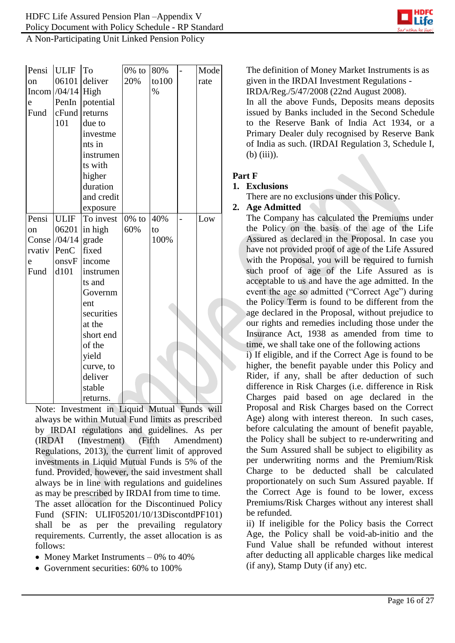

| Pensi         | <b>ULIF</b>          | To         | $0\%$ to | 80%    | $\overline{a}$ | Mode |  |
|---------------|----------------------|------------|----------|--------|----------------|------|--|
| <sub>on</sub> | 06101                | deliver    | 20%      | to 100 |                | rate |  |
|               | Incom $/04/14$ High  |            |          | $\%$   |                |      |  |
| e             | PenIn                | potential  |          |        |                |      |  |
| Fund          | cFund                | returns    |          |        |                |      |  |
|               | 101                  | due to     |          |        |                |      |  |
|               |                      | investme   |          |        |                |      |  |
|               |                      | nts in     |          |        |                |      |  |
|               |                      | instrumen  |          |        |                |      |  |
|               |                      | ts with    |          |        |                |      |  |
|               |                      | higher     |          |        |                |      |  |
|               |                      | duration   |          |        |                |      |  |
|               |                      | and credit |          |        |                |      |  |
|               |                      | exposure   |          |        |                |      |  |
| Pensi         | <b>ULIF</b>          | To invest  | $0\%$ to | 40%    | $\overline{a}$ | Low  |  |
| on            | 06201                | in high    | 60%      | to     |                |      |  |
|               | Conse $/04/14$ grade |            |          | 100%   |                |      |  |
| rvativ        | PenC                 | fixed      |          |        |                |      |  |
| e             | onsvF                | income     |          |        |                |      |  |
| Fund          | d101                 | instrumen  |          |        |                |      |  |
|               |                      | ts and     |          |        |                |      |  |
|               |                      | Governm    |          |        |                |      |  |
|               |                      | ent        |          |        |                |      |  |
|               |                      | securities |          |        |                |      |  |
|               |                      | at the     |          |        |                |      |  |
|               |                      | short end  |          |        |                |      |  |
|               |                      | of the     |          |        |                |      |  |
|               |                      | yield      |          |        |                |      |  |
|               |                      | curve, to  |          |        |                |      |  |
|               |                      | deliver    |          |        |                |      |  |
|               |                      | stable     |          |        |                |      |  |
|               |                      | returns.   |          |        |                |      |  |

Note: Investment in Liquid Mutual Funds will always be within Mutual Fund limits as prescribed by IRDAI regulations and guidelines. As per (IRDAI (Investment) (Fifth Amendment) Regulations, 2013), the current limit of approved investments in Liquid Mutual Funds is 5% of the fund. Provided, however, the said investment shall always be in line with regulations and guidelines as may be prescribed by IRDAI from time to time. The asset allocation for the Discontinued Policy Fund (SFIN: ULIF05201/10/13DiscontdPF101) shall be as per the prevailing regulatory requirements. Currently, the asset allocation is as follows:

- Money Market Instruments  $-0\%$  to 40%
- Government securities: 60% to 100%

The definition of Money Market Instruments is as given in the IRDAI Investment Regulations -

IRDA/Reg./5/47/2008 (22nd August 2008).

In all the above Funds, Deposits means deposits issued by Banks included in the Second Schedule to the Reserve Bank of India Act 1934, or a Primary Dealer duly recognised by Reserve Bank of India as such. (IRDAI Regulation 3, Schedule I, (b) (iii)).

# **Part F**

### **1. Exclusions**

There are no exclusions under this Policy.

### **2. Age Admitted**

The Company has calculated the Premiums under the Policy on the basis of the age of the Life Assured as declared in the Proposal. In case you have not provided proof of age of the Life Assured with the Proposal, you will be required to furnish such proof of age of the Life Assured as is acceptable to us and have the age admitted. In the event the age so admitted ("Correct Age") during the Policy Term is found to be different from the age declared in the Proposal, without prejudice to our rights and remedies including those under the Insurance Act, 1938 as amended from time to time, we shall take one of the following actions

i) If eligible, and if the Correct Age is found to be higher, the benefit payable under this Policy and Rider, if any, shall be after deduction of such difference in Risk Charges (i.e. difference in Risk Charges paid based on age declared in the Proposal and Risk Charges based on the Correct Age) along with interest thereon. In such cases, before calculating the amount of benefit payable, the Policy shall be subject to re-underwriting and the Sum Assured shall be subject to eligibility as per underwriting norms and the Premium/Risk Charge to be deducted shall be calculated proportionately on such Sum Assured payable. If the Correct Age is found to be lower, excess Premiums/Risk Charges without any interest shall be refunded.

ii) If ineligible for the Policy basis the Correct Age, the Policy shall be void-ab-initio and the Fund Value shall be refunded without interest after deducting all applicable charges like medical (if any), Stamp Duty (if any) etc.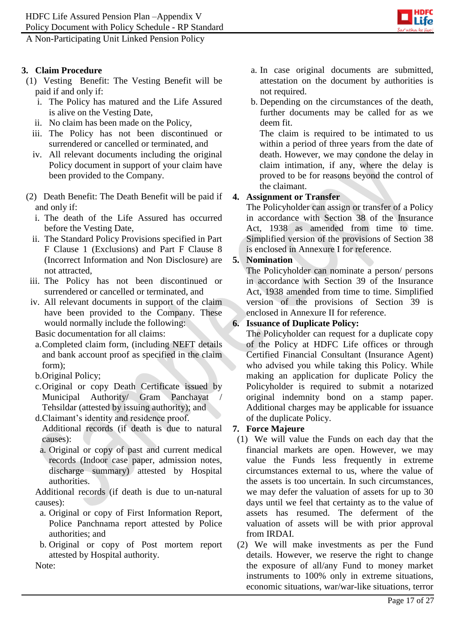A Non-Participating Unit Linked Pension Policy

### **3. Claim Procedure**

- (1) Vesting Benefit: The Vesting Benefit will be paid if and only if:
	- i. The Policy has matured and the Life Assured is alive on the Vesting Date,
	- ii. No claim has been made on the Policy,
	- iii. The Policy has not been discontinued or surrendered or cancelled or terminated, and
	- iv. All relevant documents including the original Policy document in support of your claim have been provided to the Company.
- (2) Death Benefit: The Death Benefit will be paid if and only if:
	- i. The death of the Life Assured has occurred before the Vesting Date,
	- ii. The Standard Policy Provisions specified in Part F Clause 1 (Exclusions) and Part F Clause 8 (Incorrect Information and Non Disclosure) are not attracted,
- iii. The Policy has not been discontinued or surrendered or cancelled or terminated, and
- iv. All relevant documents in support of the claim have been provided to the Company. These would normally include the following:

Basic documentation for all claims:

- a.Completed claim form, (including NEFT details and bank account proof as specified in the claim  $form$ ).
- b.Original Policy;
- c.Original or copy Death Certificate issued by Municipal Authority/ Gram Panchayat Tehsildar (attested by issuing authority); and
- d.Claimant's identity and residence proof. Additional records (if death is due to natural causes):
	- a. Original or copy of past and current medical records (Indoor case paper, admission notes, discharge summary) attested by Hospital authorities.

Additional records (if death is due to un-natural causes):

- a. Original or copy of First Information Report, Police Panchnama report attested by Police authorities; and
- b. Original or copy of Post mortem report attested by Hospital authority.

Note:

- a. In case original documents are submitted, attestation on the document by authorities is not required.
- b. Depending on the circumstances of the death, further documents may be called for as we deem fit.

The claim is required to be intimated to us within a period of three years from the date of death. However, we may condone the delay in claim intimation, if any, where the delay is proved to be for reasons beyond the control of the claimant.

### **4. Assignment or Transfer**

The Policyholder can assign or transfer of a Policy in accordance with Section 38 of the Insurance Act, 1938 as amended from time to time. Simplified version of the provisions of Section 38 is enclosed in Annexure I for reference.

## **5. Nomination**

The Policyholder can nominate a person/ persons in accordance with Section 39 of the Insurance Act, 1938 amended from time to time. Simplified version of the provisions of Section 39 is enclosed in Annexure II for reference.

### **6. Issuance of Duplicate Policy:**

The Policyholder can request for a duplicate copy of the Policy at HDFC Life offices or through Certified Financial Consultant (Insurance Agent) who advised you while taking this Policy. While making an application for duplicate Policy the Policyholder is required to submit a notarized original indemnity bond on a stamp paper. Additional charges may be applicable for issuance of the duplicate Policy.

### **7. Force Majeure**

- (1) We will value the Funds on each day that the financial markets are open. However, we may value the Funds less frequently in extreme circumstances external to us, where the value of the assets is too uncertain. In such circumstances, we may defer the valuation of assets for up to 30 days until we feel that certainty as to the value of assets has resumed. The deferment of the valuation of assets will be with prior approval from IRDAI.
- (2) We will make investments as per the Fund details. However, we reserve the right to change the exposure of all/any Fund to money market instruments to 100% only in extreme situations, economic situations, war/war-like situations, terror

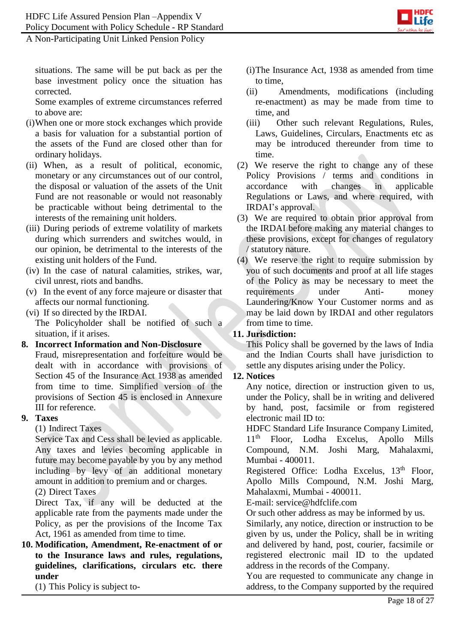A Non-Participating Unit Linked Pension Policy

situations. The same will be put back as per the base investment policy once the situation has corrected.

Some examples of extreme circumstances referred to above are:

- (i)When one or more stock exchanges which provide a basis for valuation for a substantial portion of the assets of the Fund are closed other than for ordinary holidays.
- (ii) When, as a result of political, economic, monetary or any circumstances out of our control, the disposal or valuation of the assets of the Unit Fund are not reasonable or would not reasonably be practicable without being detrimental to the interests of the remaining unit holders.
- (iii) During periods of extreme volatility of markets during which surrenders and switches would, in our opinion, be detrimental to the interests of the existing unit holders of the Fund.
- (iv) In the case of natural calamities, strikes, war, civil unrest, riots and bandhs.
- (v) In the event of any force majeure or disaster that affects our normal functioning.
- (vi) If so directed by the IRDAI.

The Policyholder shall be notified of such a situation, if it arises.

### **8. Incorrect Information and Non-Disclosure**

Fraud, misrepresentation and forfeiture would be dealt with in accordance with provisions of Section 45 of the Insurance Act 1938 as amended from time to time. Simplified version of the provisions of Section 45 is enclosed in Annexure III for reference.

### **9. Taxes**

(1) Indirect Taxes

Service Tax and Cess shall be levied as applicable. Any taxes and levies becoming applicable in future may become payable by you by any method including by levy of an additional monetary amount in addition to premium and or charges. (2) Direct Taxes

Direct Tax, if any will be deducted at the applicable rate from the payments made under the Policy, as per the provisions of the Income Tax Act, 1961 as amended from time to time.

**10. Modification, Amendment, Re-enactment of or to the Insurance laws and rules, regulations, guidelines, clarifications, circulars etc. there under**

(1) This Policy is subject to-

- (i)The Insurance Act, 1938 as amended from time to time,
- (ii) Amendments, modifications (including re-enactment) as may be made from time to time, and
- (iii) Other such relevant Regulations, Rules, Laws, Guidelines, Circulars, Enactments etc as may be introduced thereunder from time to time.
- (2) We reserve the right to change any of these Policy Provisions / terms and conditions in accordance with changes in applicable Regulations or Laws, and where required, with IRDAI's approval.
- (3) We are required to obtain prior approval from the IRDAI before making any material changes to these provisions, except for changes of regulatory / statutory nature.
- (4) We reserve the right to require submission by you of such documents and proof at all life stages of the Policy as may be necessary to meet the requirements under Anti- money Laundering/Know Your Customer norms and as may be laid down by IRDAI and other regulators from time to time.

# **11. Jurisdiction:**

This Policy shall be governed by the laws of India and the Indian Courts shall have jurisdiction to settle any disputes arising under the Policy.

# **12. Notices**

Any notice, direction or instruction given to us, under the Policy, shall be in writing and delivered by hand, post, facsimile or from registered electronic mail ID to:

HDFC Standard Life Insurance Company Limited, 11th Floor, Lodha Excelus, Apollo Mills Compound, N.M. Joshi Marg, Mahalaxmi, Mumbai - 400011.

Registered Office: Lodha Excelus, 13<sup>th</sup> Floor, Apollo Mills Compound, N.M. Joshi Marg, Mahalaxmi, Mumbai - 400011.

E-mail: service@hdfclife.com

Or such other address as may be informed by us.

Similarly, any notice, direction or instruction to be given by us, under the Policy, shall be in writing and delivered by hand, post, courier, facsimile or registered electronic mail ID to the updated address in the records of the Company.

You are requested to communicate any change in address, to the Company supported by the required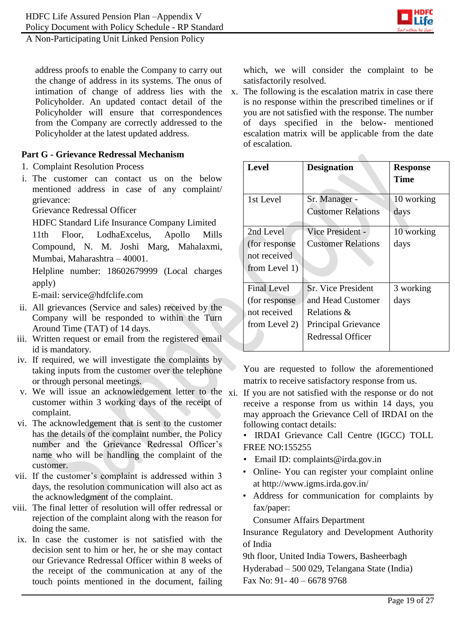

address proofs to enable the Company to carry out the change of address in its systems. The onus of intimation of change of address lies with the Policyholder. An updated contact detail of the Policyholder will ensure that correspondences from the Company are correctly addressed to the Policyholder at the latest updated address.

### **Part G - Grievance Redressal Mechanism**

- 1. Complaint Resolution Process
- i. The customer can contact us on the below mentioned address in case of any complaint/ grievance:

Grievance Redressal Officer

HDFC Standard Life Insurance Company Limited

11th Floor, LodhaExcelus, Apollo Mills Compound, N. M. Joshi Marg, Mahalaxmi, Mumbai, Maharashtra – 40001.

Helpline number: 18602679999 (Local charges apply)

E-mail: service@hdfclife.com

- ii. All grievances (Service and sales) received by the Company will be responded to within the Turn Around Time (TAT) of 14 days.
- iii. Written request or email from the registered email id is mandatory.
- iv. If required, we will investigate the complaints by taking inputs from the customer over the telephone or through personal meetings.
- v. We will issue an acknowledgement letter to the xi. If you are not satisfied with the response or do not customer within 3 working days of the receipt of complaint.
- vi. The acknowledgement that is sent to the customer has the details of the complaint number, the Policy number and the Grievance Redressal Officer's name who will be handling the complaint of the customer.
- vii. If the customer's complaint is addressed within 3 days, the resolution communication will also act as the acknowledgment of the complaint.
- viii. The final letter of resolution will offer redressal or rejection of the complaint along with the reason for doing the same.
	- ix. In case the customer is not satisfied with the decision sent to him or her, he or she may contact our Grievance Redressal Officer within 8 weeks of the receipt of the communication at any of the touch points mentioned in the document, failing

which, we will consider the complaint to be satisfactorily resolved.

x. The following is the escalation matrix in case there is no response within the prescribed timelines or if you are not satisfied with the response. The number of days specified in the below- mentioned escalation matrix will be applicable from the date of escalation.

 $\mathcal{L}$ 

| <b>Level</b>                  | <b>Designation</b>                              | <b>Response</b><br>Time |
|-------------------------------|-------------------------------------------------|-------------------------|
| 1st Level                     | Sr. Manager -<br><b>Customer Relations</b>      | 10 working<br>days      |
| 2nd Level                     | Vice President -                                | 10 working              |
| (for response)                | <b>Customer Relations</b>                       | days                    |
| not received<br>from Level 1) |                                                 |                         |
| <b>Final Level</b>            | <b>Sr. Vice President</b>                       | 3 working               |
| (for response)                | and Head Customer                               | days                    |
| not received                  | Relations &                                     |                         |
| from Level 2)                 | <b>Principal Grievance</b><br>Redressal Officer |                         |

You are requested to follow the aforementioned matrix to receive satisfactory response from us.

- receive a response from us within 14 days, you may approach the Grievance Cell of IRDAI on the following contact details:
	- IRDAI Grievance Call Centre (IGCC) TOLL FREE NO:155255
	- Email ID: complaints@irda.gov.in
	- Online- You can register your complaint online at http://www.igms.irda.gov.in/
	- Address for communication for complaints by fax/paper:

Consumer Affairs Department

Insurance Regulatory and Development Authority of India

9th floor, United India Towers, Basheerbagh Hyderabad – 500 029, Telangana State (India) Fax No: 91- 40 – 6678 9768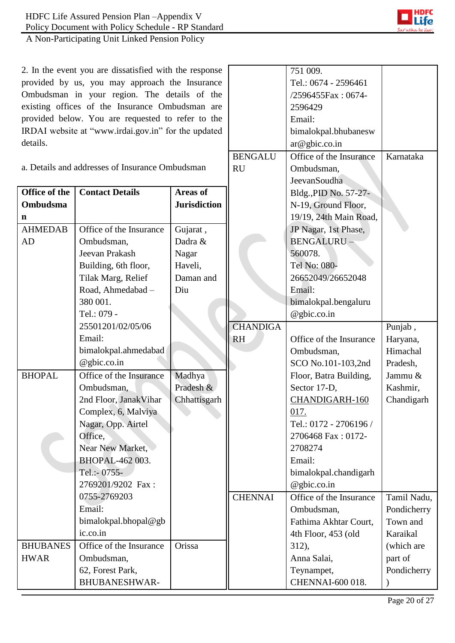2. In the event you are dissatisfied with the response provided by us, you may approach the Insurance Ombudsman in your region. The details of the existing offices of the Insurance Ombudsman are provided below. You are requested to refer to the IRDAI website at "www.irdai.gov.in" for the updated details.

|                                                 |                         | <b>BENGALU</b>      | Office of the Insurance | Karnataka               |             |
|-------------------------------------------------|-------------------------|---------------------|-------------------------|-------------------------|-------------|
| a. Details and addresses of Insurance Ombudsman |                         | <b>RU</b>           | Ombudsman,              |                         |             |
|                                                 |                         |                     | JeevanSoudha            |                         |             |
| Office of the                                   | <b>Contact Details</b>  | <b>Areas of</b>     |                         | Bldg., PID No. 57-27-   |             |
| <b>Ombudsma</b>                                 |                         | <b>Jurisdiction</b> |                         | N-19, Ground Floor,     |             |
| $\mathbf n$                                     |                         |                     |                         | 19/19, 24th Main Road,  |             |
| <b>AHMEDAB</b>                                  | Office of the Insurance | Gujarat,            |                         | JP Nagar, 1st Phase,    |             |
| AD                                              | Ombudsman,              | Dadra &             |                         | BENGALURU-              |             |
|                                                 | Jeevan Prakash          | Nagar               |                         | 560078.                 |             |
|                                                 | Building, 6th floor,    | Haveli,             |                         | Tel No: 080-            |             |
|                                                 | Tilak Marg, Relief      | Daman and           |                         | 26652049/26652048       |             |
|                                                 | Road, Ahmedabad -       | Diu                 |                         | Email:                  |             |
|                                                 | 380 001.                |                     |                         | bimalokpal.bengaluru    |             |
|                                                 | Tel.: 079 -             |                     |                         | @gbic.co.in             |             |
|                                                 | 25501201/02/05/06       |                     | <b>CHANDIGA</b>         |                         | Punjab,     |
|                                                 | Email:                  |                     | <b>RH</b>               | Office of the Insurance | Haryana,    |
|                                                 | bimalokpal.ahmedabad    |                     |                         | Ombudsman,              | Himachal    |
|                                                 | @gbic.co.in             |                     |                         | SCO No.101-103,2nd      | Pradesh,    |
| <b>BHOPAL</b>                                   | Office of the Insurance | Madhya              |                         | Floor, Batra Building,  | Jammu &     |
|                                                 | Ombudsman,              | Pradesh &           |                         | Sector 17-D,            | Kashmir,    |
|                                                 | 2nd Floor, JanakVihar   | Chhattisgarh        |                         | CHANDIGARH-160          | Chandigarh  |
|                                                 | Complex, 6, Malviya     |                     |                         | 017.                    |             |
|                                                 | Nagar, Opp. Airtel      |                     |                         | Tel.: 0172 - 2706196 /  |             |
|                                                 | Office,                 |                     |                         | 2706468 Fax: 0172-      |             |
|                                                 | Near New Market,        |                     |                         | 2708274                 |             |
|                                                 | BHOPAL-462 003.         |                     |                         | Email:                  |             |
|                                                 | Tel.:- 0755-            |                     |                         | bimalokpal.chandigarh   |             |
|                                                 | 2769201/9202 Fax:       |                     |                         | @gbic.co.in             |             |
|                                                 | 0755-2769203            |                     | <b>CHENNAI</b>          | Office of the Insurance | Tamil Nadu, |
|                                                 | Email:                  |                     |                         | Ombudsman,              | Pondicherry |
|                                                 | bimalokpal.bhopal@gb    |                     |                         | Fathima Akhtar Court,   | Town and    |
|                                                 | ic.co.in                |                     |                         | 4th Floor, 453 (old     | Karaikal    |
| <b>BHUBANES</b>                                 | Office of the Insurance | Orissa              |                         | 312),                   | (which are  |
| <b>HWAR</b>                                     | Ombudsman,              |                     |                         | Anna Salai,             | part of     |
|                                                 | 62, Forest Park,        |                     |                         | Teynampet,              | Pondicherry |
|                                                 | BHUBANESHWAR-           |                     |                         | CHENNAI-600 018.        |             |



751 009.

2596429 Email:

ar@gbic.co.in

Tel.: 0674 - 2596461 /2596455Fax : 0674-

bimalokpal.bhubanesw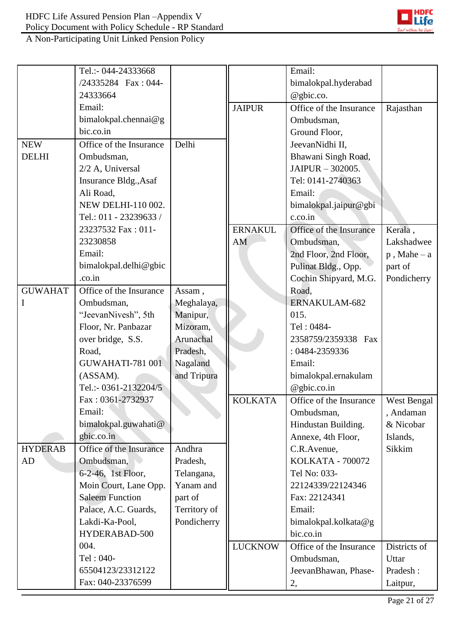

A Non-Participating Unit Linked Pension Policy

|                | Tel.:- 044-24333668     |              |                | Email:                  |                |
|----------------|-------------------------|--------------|----------------|-------------------------|----------------|
|                | /24335284 Fax: 044-     |              |                | bimalokpal.hyderabad    |                |
|                | 24333664                |              |                | @gbic.co.               |                |
|                | Email:                  |              | <b>JAIPUR</b>  | Office of the Insurance | Rajasthan      |
|                | bimalokpal.chennai@g    |              |                | Ombudsman,              |                |
|                | bic.co.in               |              |                | Ground Floor,           |                |
| <b>NEW</b>     | Office of the Insurance | Delhi        |                | JeevanNidhi II,         |                |
| <b>DELHI</b>   | Ombudsman,              |              |                | Bhawani Singh Road,     |                |
|                | 2/2 A, Universal        |              |                | JAIPUR - 302005.        |                |
|                | Insurance Bldg., Asaf   |              |                | Tel: 0141-2740363       |                |
|                | Ali Road,               |              |                | Email:                  |                |
|                | NEW DELHI-110 002.      |              |                | bimalokpal.jaipur@gbi   |                |
|                | Tel.: 011 - 23239633 /  |              |                | c.co.in                 |                |
|                | 23237532 Fax: 011-      |              | <b>ERNAKUL</b> | Office of the Insurance | Kerala,        |
|                | 23230858                |              | AM             | Ombudsman,              | Lakshadwee     |
|                | Email:                  |              |                | 2nd Floor, 2nd Floor,   | $p$ , Mahe – a |
|                | bimalokpal.delhi@gbic   |              |                | Pulinat Bldg., Opp.     | part of        |
|                | .co.in                  |              |                | Cochin Shipyard, M.G.   | Pondicherry    |
| <b>GUWAHAT</b> | Office of the Insurance | Assam,       |                | Road,                   |                |
| I              | Ombudsman,              | Meghalaya,   |                | ERNAKULAM-682           |                |
|                | "JeevanNivesh", 5th     | Manipur,     |                | 015.                    |                |
|                | Floor, Nr. Panbazar     | Mizoram,     |                | Tel: 0484-              |                |
|                | over bridge, S.S.       | Arunachal    |                | 2358759/2359338 Fax     |                |
|                | Road,                   | Pradesh,     |                | : 0484-2359336          |                |
|                | <b>GUWAHATI-781 001</b> | Nagaland     |                | Email:                  |                |
|                | (ASSAM).                | and Tripura  |                | bimalokpal.ernakulam    |                |
|                | Tel.:- 0361-2132204/5   |              |                | @gbic.co.in             |                |
|                | Fax: 0361-2732937       |              | <b>KOLKATA</b> | Office of the Insurance | West Bengal    |
|                | Email:                  |              |                | Ombudsman,              | , Andaman      |
|                | bimalokpal.guwahati@    |              |                | Hindustan Building.     | & Nicobar      |
|                | gbic.co.in              |              |                | Annexe, 4th Floor,      | Islands,       |
| <b>HYDERAB</b> | Office of the Insurance | Andhra       |                | C.R.Avenue,             | Sikkim         |
| AD             | Ombudsman,              | Pradesh,     |                | <b>KOLKATA - 700072</b> |                |
|                | 6-2-46, 1st Floor,      | Telangana,   |                | Tel No: 033-            |                |
|                | Moin Court, Lane Opp.   | Yanam and    |                | 22124339/22124346       |                |
|                | <b>Saleem Function</b>  | part of      |                | Fax: 22124341           |                |
|                | Palace, A.C. Guards,    | Territory of |                | Email:                  |                |
|                | Lakdi-Ka-Pool,          | Pondicherry  |                | bimalokpal.kolkata@g    |                |
|                | HYDERABAD-500           |              |                | bic.co.in               |                |
|                | 004.                    |              | <b>LUCKNOW</b> | Office of the Insurance | Districts of   |
|                | Tel: 040-               |              |                | Ombudsman,              | Uttar          |
|                | 65504123/23312122       |              |                | JeevanBhawan, Phase-    | Pradesh:       |
|                | Fax: 040-23376599       |              |                | 2,                      | Laitpur,       |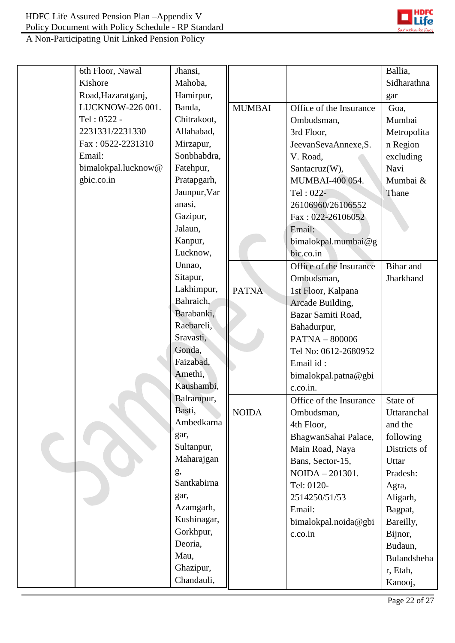

| 6th Floor, Nawal    | Jhansi,      |               |                         | Ballia,      |
|---------------------|--------------|---------------|-------------------------|--------------|
| Kishore             | Mahoba,      |               |                         | Sidharathna  |
| Road, Hazaratganj,  | Hamirpur,    |               |                         | gar          |
| LUCKNOW-226 001.    | Banda,       | <b>MUMBAI</b> | Office of the Insurance | Goa,         |
| Tel: 0522 -         | Chitrakoot,  |               | Ombudsman,              | Mumbai       |
| 2231331/2231330     | Allahabad,   |               | 3rd Floor,              | Metropolita  |
| Fax: 0522-2231310   | Mirzapur,    |               | JeevanSevaAnnexe, S.    | n Region     |
| Email:              | Sonbhabdra,  |               | V. Road,                | excluding    |
| bimalokpal.lucknow@ | Fatehpur,    |               | Santacruz(W),           | Navi         |
| gbic.co.in          | Pratapgarh,  |               | MUMBAI-400 054.         | Mumbai &     |
|                     | Jaunpur, Var |               | Tel: 022-               | Thane        |
|                     | anasi,       |               | 26106960/26106552       |              |
|                     | Gazipur,     |               | Fax: 022-26106052       |              |
|                     | Jalaun,      |               | Email:                  |              |
|                     | Kanpur,      |               | bimalokpal.mumbai@g     |              |
|                     | Lucknow,     |               | bic.co.in               |              |
|                     | Unnao,       |               | Office of the Insurance | Bihar and    |
|                     | Sitapur,     |               | Ombudsman,              | Jharkhand    |
|                     | Lakhimpur,   | <b>PATNA</b>  | 1st Floor, Kalpana      |              |
|                     | Bahraich,    |               | Arcade Building,        |              |
|                     | Barabanki,   |               | Bazar Samiti Road,      |              |
|                     | Raebareli,   |               | Bahadurpur,             |              |
|                     | Sravasti,    |               | PATNA - 800006          |              |
|                     | Gonda,       |               | Tel No: 0612-2680952    |              |
|                     | Faizabad,    |               | Email id:               |              |
|                     | Amethi,      |               | bimalokpal.patna@gbi    |              |
|                     | Kaushambi,   |               | c.co.in.                |              |
|                     | Balrampur,   |               | Office of the Insurance | State of     |
|                     | Basti,       | <b>NOIDA</b>  | Ombudsman,              | Uttaranchal  |
|                     | Ambedkarna   |               | 4th Floor,              | and the      |
|                     | gar,         |               | BhagwanSahai Palace,    | following    |
|                     | Sultanpur,   |               | Main Road, Naya         | Districts of |
|                     | Maharajgan   |               | Bans, Sector-15,        | Uttar        |
|                     | g,           |               | NOIDA - 201301.         | Pradesh:     |
|                     | Santkabirna  |               | Tel: 0120-              | Agra,        |
|                     | gar,         |               | 2514250/51/53           | Aligarh,     |
|                     | Azamgarh,    |               | Email:                  | Bagpat,      |
|                     | Kushinagar,  |               | bimalokpal.noida@gbi    | Bareilly,    |
|                     | Gorkhpur,    |               | c.co.in                 | Bijnor,      |
|                     | Deoria,      |               |                         | Budaun,      |
|                     | Mau,         |               |                         | Bulandsheha  |
|                     | Ghazipur,    |               |                         | r, Etah,     |
|                     | Chandauli,   |               |                         | Kanooj,      |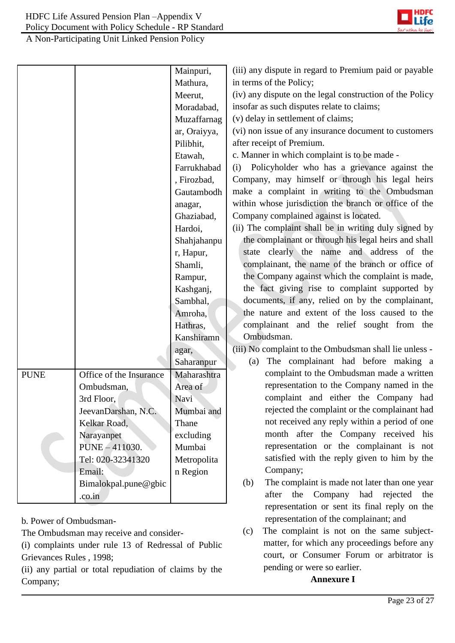

|             |                         | Mainpuri,    | (iii) any dispute in regard to Premium paid or payable   |  |  |
|-------------|-------------------------|--------------|----------------------------------------------------------|--|--|
|             |                         | Mathura,     | in terms of the Policy;                                  |  |  |
|             |                         | Meerut,      | (iv) any dispute on the legal construction of the Policy |  |  |
|             |                         | Moradabad,   | insofar as such disputes relate to claims;               |  |  |
|             |                         | Muzaffarnag  | (v) delay in settlement of claims;                       |  |  |
|             |                         | ar, Oraiyya, | (vi) non issue of any insurance document to customers    |  |  |
|             |                         | Pilibhit,    | after receipt of Premium.                                |  |  |
|             |                         | Etawah,      | c. Manner in which complaint is to be made -             |  |  |
|             |                         | Farrukhabad  | (i) Policyholder who has a grievance against the         |  |  |
|             |                         | , Firozbad,  | Company, may himself or through his legal heirs          |  |  |
|             |                         | Gautambodh   | make a complaint in writing to the Ombudsman             |  |  |
|             |                         | anagar,      | within whose jurisdiction the branch or office of the    |  |  |
|             |                         | Ghaziabad,   | Company complained against is located.                   |  |  |
|             |                         | Hardoi,      | (ii) The complaint shall be in writing duly signed by    |  |  |
|             |                         | Shahjahanpu  | the complainant or through his legal heirs and shall     |  |  |
|             |                         | r, Hapur,    | state clearly the name and address of the                |  |  |
|             |                         | Shamli,      | complainant, the name of the branch or office of         |  |  |
|             |                         | Rampur,      | the Company against which the complaint is made,         |  |  |
|             |                         | Kashganj,    | the fact giving rise to complaint supported by           |  |  |
|             |                         | Sambhal,     | documents, if any, relied on by the complainant,         |  |  |
|             |                         | Amroha,      | the nature and extent of the loss caused to the          |  |  |
|             |                         | Hathras,     | complainant and the relief sought from the               |  |  |
|             |                         | Kanshiramn   | Ombudsman.                                               |  |  |
|             |                         | agar,        | (iii) No complaint to the Ombudsman shall lie unless -   |  |  |
|             |                         | Saharanpur   | The complainant had before making a<br>(a)               |  |  |
| <b>PUNE</b> | Office of the Insurance | Maharashtra  | complaint to the Ombudsman made a written                |  |  |
|             | Ombudsman,              | Area of      | representation to the Company named in the               |  |  |
|             | 3rd Floor,              | Navi         | complaint and either the Company had                     |  |  |
|             | JeevanDarshan, N.C.     | Mumbai and   | rejected the complaint or the complainant had            |  |  |
|             | Kelkar Road,            | Thane        | not received any reply within a period of one            |  |  |
|             | Narayanpet              | excluding    | month after the Company received his                     |  |  |
|             | PUNE - 411030.          | Mumbai       | representation or the complainant is not                 |  |  |
|             | Tel: 020-32341320       | Metropolita  | satisfied with the reply given to him by the             |  |  |
|             | Email:                  | n Region     | Company;                                                 |  |  |
|             | Bimalokpal.pune@gbic    |              | The complaint is made not later than one year<br>(b)     |  |  |
|             | .co.in                  |              | the<br>Company had rejected<br>after<br>the              |  |  |
|             |                         |              | representation or sent its final reply on the            |  |  |

b. Power of Ombudsman-

The Ombudsman may receive and consider-

(i) complaints under rule 13 of Redressal of Public Grievances Rules , 1998;

(ii) any partial or total repudiation of claims by the Company;

representation of the complainant; and (c) The complaint is not on the same subject-

**Annexure I**

pending or were so earlier.

matter, for which any proceedings before any court, or Consumer Forum or arbitrator is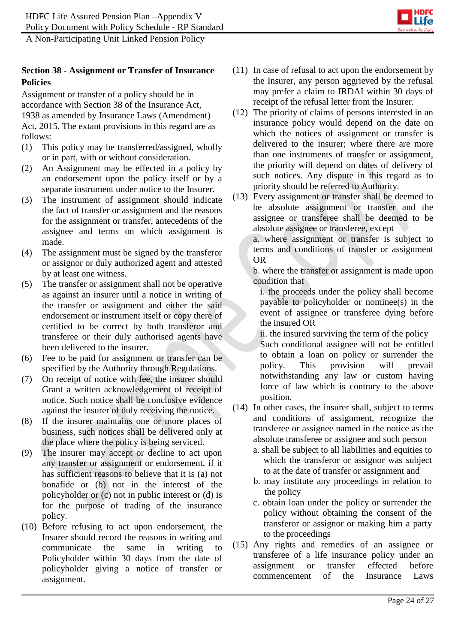

# **Section 38 - Assignment or Transfer of Insurance Policies**

Assignment or transfer of a policy should be in accordance with Section 38 of the Insurance Act, 1938 as amended by Insurance Laws (Amendment) Act, 2015. The extant provisions in this regard are as follows:

- (1) This policy may be transferred/assigned, wholly or in part, with or without consideration.
- (2) An Assignment may be effected in a policy by an endorsement upon the policy itself or by a separate instrument under notice to the Insurer.
- (3) The instrument of assignment should indicate the fact of transfer or assignment and the reasons for the assignment or transfer, antecedents of the assignee and terms on which assignment is made.
- (4) The assignment must be signed by the transferor or assignor or duly authorized agent and attested by at least one witness.
- (5) The transfer or assignment shall not be operative as against an insurer until a notice in writing of the transfer or assignment and either the said endorsement or instrument itself or copy there of certified to be correct by both transferor and transferee or their duly authorised agents have been delivered to the insurer.
- (6) Fee to be paid for assignment or transfer can be specified by the Authority through Regulations.
- (7) On receipt of notice with fee, the insurer should Grant a written acknowledgement of receipt of notice. Such notice shall be conclusive evidence against the insurer of duly receiving the notice.
- (8) If the insurer maintains one or more places of business, such notices shall be delivered only at the place where the policy is being serviced.
- (9) The insurer may accept or decline to act upon any transfer or assignment or endorsement, if it has sufficient reasons to believe that it is (a) not bonafide or (b) not in the interest of the policyholder or (c) not in public interest or (d) is for the purpose of trading of the insurance policy.
- (10) Before refusing to act upon endorsement, the Insurer should record the reasons in writing and communicate the same in writing to Policyholder within 30 days from the date of policyholder giving a notice of transfer or assignment.
- (11) In case of refusal to act upon the endorsement by the Insurer, any person aggrieved by the refusal may prefer a claim to IRDAI within 30 days of receipt of the refusal letter from the Insurer.
- (12) The priority of claims of persons interested in an insurance policy would depend on the date on which the notices of assignment or transfer is delivered to the insurer; where there are more than one instruments of transfer or assignment, the priority will depend on dates of delivery of such notices. Any dispute in this regard as to priority should be referred to Authority.
- (13) Every assignment or transfer shall be deemed to be absolute assignment or transfer and the assignee or transferee shall be deemed to be absolute assignee or transferee, except

a. where assignment or transfer is subject to terms and conditions of transfer or assignment OR

b. where the transfer or assignment is made upon condition that

i. the proceeds under the policy shall become payable to policyholder or nominee(s) in the event of assignee or transferee dying before the insured OR

ii. the insured surviving the term of the policy Such conditional assignee will not be entitled to obtain a loan on policy or surrender the policy. This provision will prevail notwithstanding any law or custom having force of law which is contrary to the above position.

- (14) In other cases, the insurer shall, subject to terms and conditions of assignment, recognize the transferee or assignee named in the notice as the absolute transferee or assignee and such person
	- a. shall be subject to all liabilities and equities to which the transferor or assignor was subject to at the date of transfer or assignment and
	- b. may institute any proceedings in relation to the policy
	- c. obtain loan under the policy or surrender the policy without obtaining the consent of the transferor or assignor or making him a party to the proceedings
- (15) Any rights and remedies of an assignee or transferee of a life insurance policy under an assignment or transfer effected before commencement of the Insurance Laws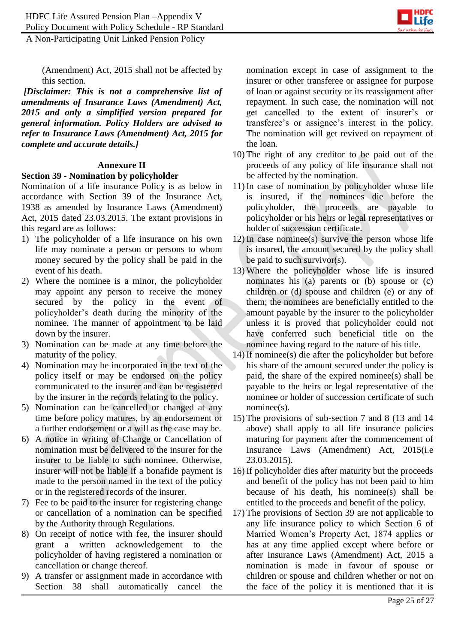

(Amendment) Act, 2015 shall not be affected by this section.

*[Disclaimer: This is not a comprehensive list of amendments of Insurance Laws (Amendment) Act, 2015 and only a simplified version prepared for general information. Policy Holders are advised to refer to Insurance Laws (Amendment) Act, 2015 for complete and accurate details.]*

### **Annexure II**

## **Section 39 - Nomination by policyholder**

Nomination of a life insurance Policy is as below in accordance with Section 39 of the Insurance Act, 1938 as amended by Insurance Laws (Amendment) Act, 2015 dated 23.03.2015. The extant provisions in this regard are as follows:

- 1) The policyholder of a life insurance on his own life may nominate a person or persons to whom money secured by the policy shall be paid in the event of his death.
- 2) Where the nominee is a minor, the policyholder may appoint any person to receive the money secured by the policy in the event of policyholder's death during the minority of the nominee. The manner of appointment to be laid down by the insurer.
- 3) Nomination can be made at any time before the maturity of the policy.
- 4) Nomination may be incorporated in the text of the policy itself or may be endorsed on the policy communicated to the insurer and can be registered by the insurer in the records relating to the policy.
- 5) Nomination can be cancelled or changed at any time before policy matures, by an endorsement or a further endorsement or a will as the case may be.
- 6) A notice in writing of Change or Cancellation of nomination must be delivered to the insurer for the insurer to be liable to such nominee. Otherwise, insurer will not be liable if a bonafide payment is made to the person named in the text of the policy or in the registered records of the insurer.
- 7) Fee to be paid to the insurer for registering change or cancellation of a nomination can be specified by the Authority through Regulations.
- 8) On receipt of notice with fee, the insurer should grant a written acknowledgement to the policyholder of having registered a nomination or cancellation or change thereof.
- 9) A transfer or assignment made in accordance with Section 38 shall automatically cancel the

nomination except in case of assignment to the insurer or other transferee or assignee for purpose of loan or against security or its reassignment after repayment. In such case, the nomination will not get cancelled to the extent of insurer's or transferee's or assignee's interest in the policy. The nomination will get revived on repayment of the loan.

- 10) The right of any creditor to be paid out of the proceeds of any policy of life insurance shall not be affected by the nomination.
- 11) In case of nomination by policyholder whose life is insured, if the nominees die before the policyholder, the proceeds are payable to policyholder or his heirs or legal representatives or holder of succession certificate.
- 12) In case nominee(s) survive the person whose life is insured, the amount secured by the policy shall be paid to such survivor(s).
- 13) Where the policyholder whose life is insured nominates his (a) parents or (b) spouse or (c) children or (d) spouse and children (e) or any of them; the nominees are beneficially entitled to the amount payable by the insurer to the policyholder unless it is proved that policyholder could not have conferred such beneficial title on the nominee having regard to the nature of his title.
- 14) If nominee(s) die after the policyholder but before his share of the amount secured under the policy is paid, the share of the expired nominee(s) shall be payable to the heirs or legal representative of the nominee or holder of succession certificate of such nominee(s).
- 15) The provisions of sub-section 7 and 8 (13 and 14 above) shall apply to all life insurance policies maturing for payment after the commencement of Insurance Laws (Amendment) Act, 2015(i.e 23.03.2015).
- 16) If policyholder dies after maturity but the proceeds and benefit of the policy has not been paid to him because of his death, his nominee(s) shall be entitled to the proceeds and benefit of the policy.
- 17) The provisions of Section 39 are not applicable to any life insurance policy to which Section 6 of Married Women's Property Act, 1874 applies or has at any time applied except where before or after Insurance Laws (Amendment) Act, 2015 a nomination is made in favour of spouse or children or spouse and children whether or not on the face of the policy it is mentioned that it is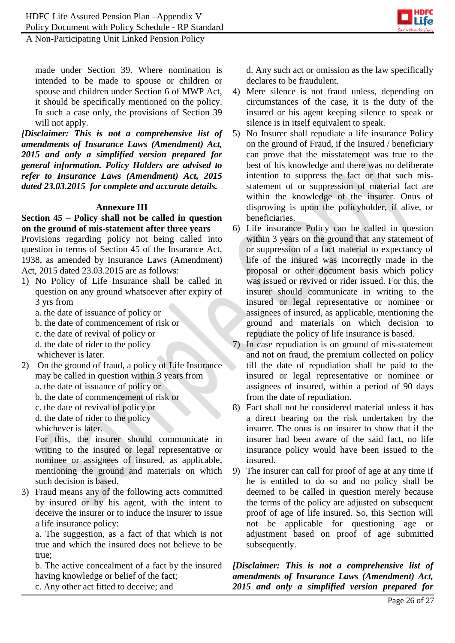

made under Section 39. Where nomination is intended to be made to spouse or children or spouse and children under Section 6 of MWP Act, it should be specifically mentioned on the policy. In such a case only, the provisions of Section 39 will not apply.

*[Disclaimer: This is not a comprehensive list of amendments of Insurance Laws (Amendment) Act, 2015 and only a simplified version prepared for general information. Policy Holders are advised to refer to Insurance Laws (Amendment) Act, 2015 dated 23.03.2015 for complete and accurate details.*

#### **Annexure III**

#### **Section 45 – Policy shall not be called in question on the ground of mis-statement after three years**

Provisions regarding policy not being called into question in terms of Section 45 of the Insurance Act, 1938, as amended by Insurance Laws (Amendment) Act, 2015 dated 23.03.2015 are as follows:

- 1) No Policy of Life Insurance shall be called in question on any ground whatsoever after expiry of 3 yrs from
	- a. the date of issuance of policy or
	- b. the date of commencement of risk or
	- c. the date of revival of policy or
	- d. the date of rider to the policy
	- whichever is later.
- 2) On the ground of fraud, a policy of Life Insurance may be called in question within 3 years from
	- a. the date of issuance of policy or
	- b. the date of commencement of risk or
	- c. the date of revival of policy or
	- d. the date of rider to the policy

whichever is later.

For this, the insurer should communicate in writing to the insured or legal representative or nominee or assignees of insured, as applicable, mentioning the ground and materials on which such decision is based.

3) Fraud means any of the following acts committed by insured or by his agent, with the intent to deceive the insurer or to induce the insurer to issue a life insurance policy:

a. The suggestion, as a fact of that which is not true and which the insured does not believe to be true;

b. The active concealment of a fact by the insured having knowledge or belief of the fact;

c. Any other act fitted to deceive; and

d. Any such act or omission as the law specifically declares to be fraudulent.

- 4) Mere silence is not fraud unless, depending on circumstances of the case, it is the duty of the insured or his agent keeping silence to speak or silence is in itself equivalent to speak.
- 5) No Insurer shall repudiate a life insurance Policy on the ground of Fraud, if the Insured / beneficiary can prove that the misstatement was true to the best of his knowledge and there was no deliberate intention to suppress the fact or that such misstatement of or suppression of material fact are within the knowledge of the insurer. Onus of disproving is upon the policyholder, if alive, or beneficiaries.
- 6) Life insurance Policy can be called in question within 3 years on the ground that any statement of or suppression of a fact material to expectancy of life of the insured was incorrectly made in the proposal or other document basis which policy was issued or revived or rider issued. For this, the insurer should communicate in writing to the insured or legal representative or nominee or assignees of insured, as applicable, mentioning the ground and materials on which decision to repudiate the policy of life insurance is based.
- 7) In case repudiation is on ground of mis-statement and not on fraud, the premium collected on policy till the date of repudiation shall be paid to the insured or legal representative or nominee or assignees of insured, within a period of 90 days from the date of repudiation.
- 8) Fact shall not be considered material unless it has a direct bearing on the risk undertaken by the insurer. The onus is on insurer to show that if the insurer had been aware of the said fact, no life insurance policy would have been issued to the insured.
- 9) The insurer can call for proof of age at any time if he is entitled to do so and no policy shall be deemed to be called in question merely because the terms of the policy are adjusted on subsequent proof of age of life insured. So, this Section will not be applicable for questioning age or adjustment based on proof of age submitted subsequently.

*[Disclaimer: This is not a comprehensive list of amendments of Insurance Laws (Amendment) Act, 2015 and only a simplified version prepared for*